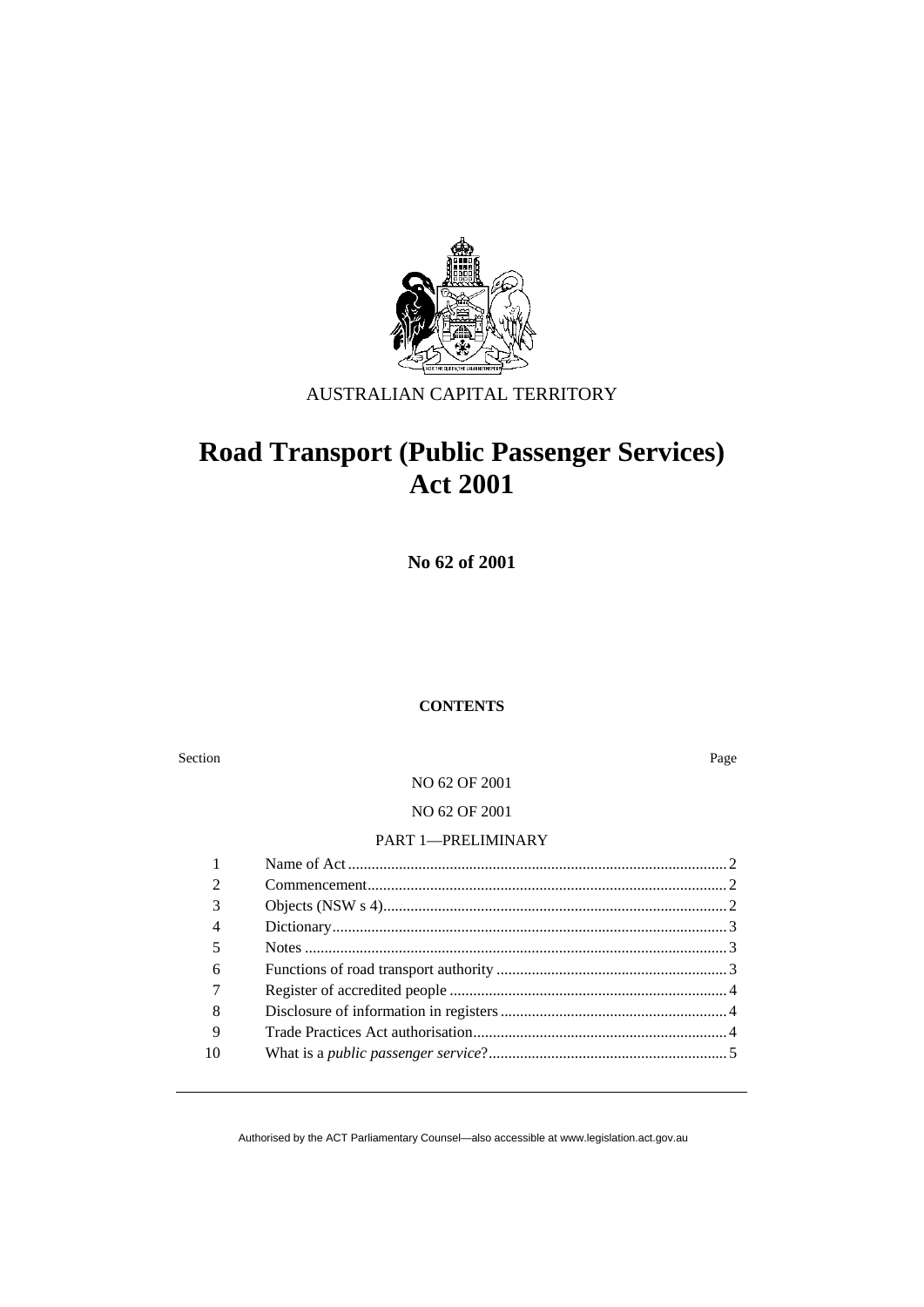

# AUSTRALIAN CAPITAL TERRITORY

# **Road Transport (Public Passenger Services) Act 2001**

**No 62 of 2001** 

#### **CONTENTS**

Section Page

NO 62 OF 2001

NO 62 OF 2001

#### PART 1—PRELIMINARY

| ◠  |  |
|----|--|
| 3  |  |
| 4  |  |
| 5  |  |
| 6  |  |
|    |  |
| 8  |  |
| 9  |  |
| 10 |  |
|    |  |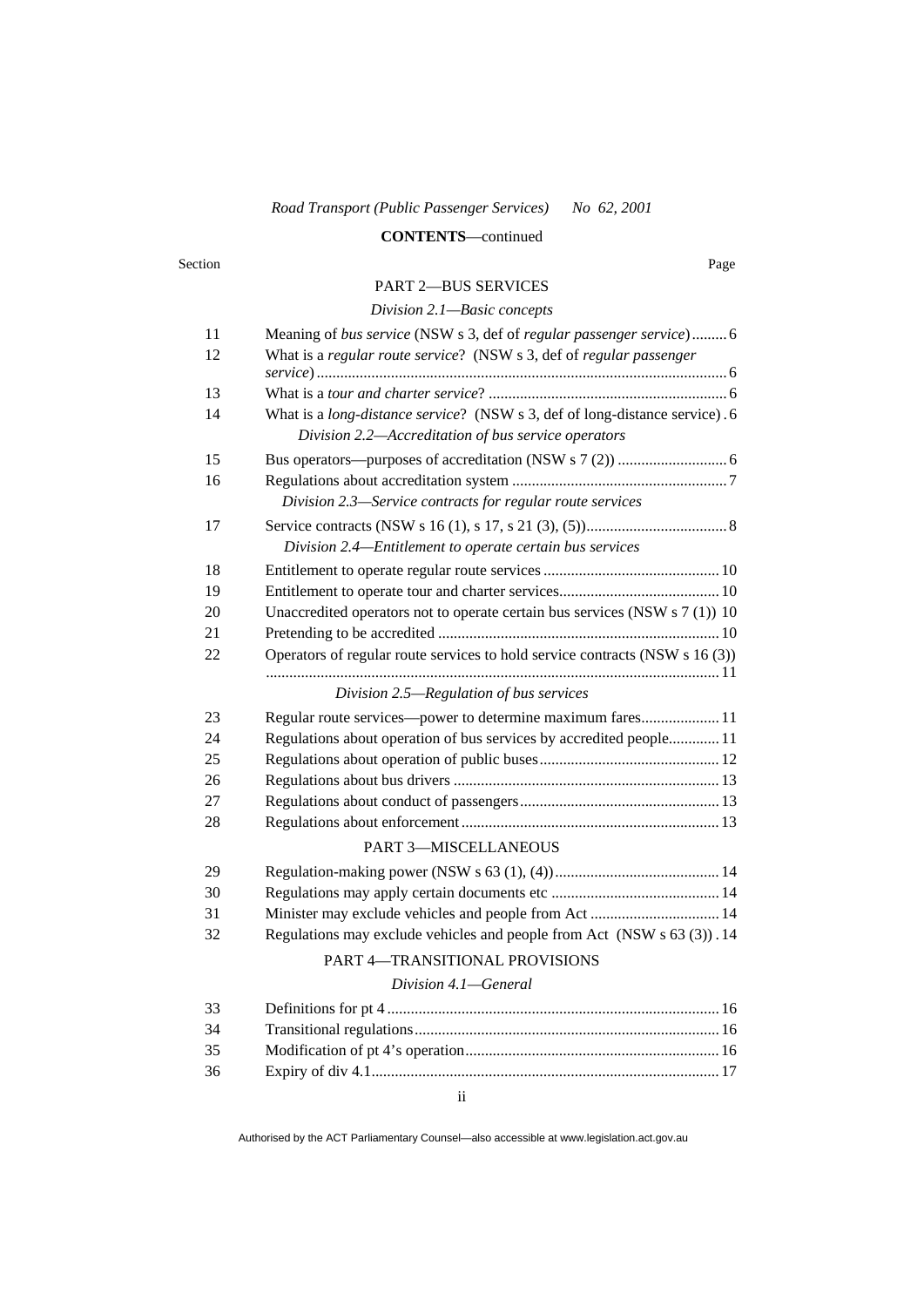#### **CONTENTS**—continued

#### Section Page

#### PART 2—BUS SERVICES

### *Division 2.1—Basic concepts*

| 11 | Meaning of bus service (NSW s 3, def of regular passenger service) 6                                                               |
|----|------------------------------------------------------------------------------------------------------------------------------------|
| 12 | What is a regular route service? (NSW s 3, def of regular passenger                                                                |
|    |                                                                                                                                    |
| 13 |                                                                                                                                    |
| 14 | What is a long-distance service? (NSW s 3, def of long-distance service). 6<br>Division 2.2-Accreditation of bus service operators |
| 15 |                                                                                                                                    |
| 16 | Division 2.3-Service contracts for regular route services                                                                          |
| 17 |                                                                                                                                    |
|    | Division 2.4-Entitlement to operate certain bus services                                                                           |
| 18 |                                                                                                                                    |
| 19 |                                                                                                                                    |
| 20 | Unaccredited operators not to operate certain bus services (NSW s 7 (1)) 10                                                        |
| 21 |                                                                                                                                    |
| 22 | Operators of regular route services to hold service contracts (NSW s 16 (3))                                                       |
|    | Division 2.5—Regulation of bus services                                                                                            |
| 23 | Regular route services—power to determine maximum fares 11                                                                         |
| 24 | Regulations about operation of bus services by accredited people 11                                                                |
| 25 |                                                                                                                                    |
| 26 |                                                                                                                                    |
| 27 |                                                                                                                                    |
| 28 |                                                                                                                                    |
|    | PART 3-MISCELLANEOUS                                                                                                               |
| 29 |                                                                                                                                    |
| 30 |                                                                                                                                    |
| 31 | Minister may exclude vehicles and people from Act 14                                                                               |
| 32 | Regulations may exclude vehicles and people from Act (NSW s 63 (3)). 14                                                            |
|    | PART 4-TRANSITIONAL PROVISIONS                                                                                                     |
|    | Division 4.1-General                                                                                                               |
| 33 |                                                                                                                                    |
| 34 |                                                                                                                                    |
| 35 |                                                                                                                                    |
| 36 |                                                                                                                                    |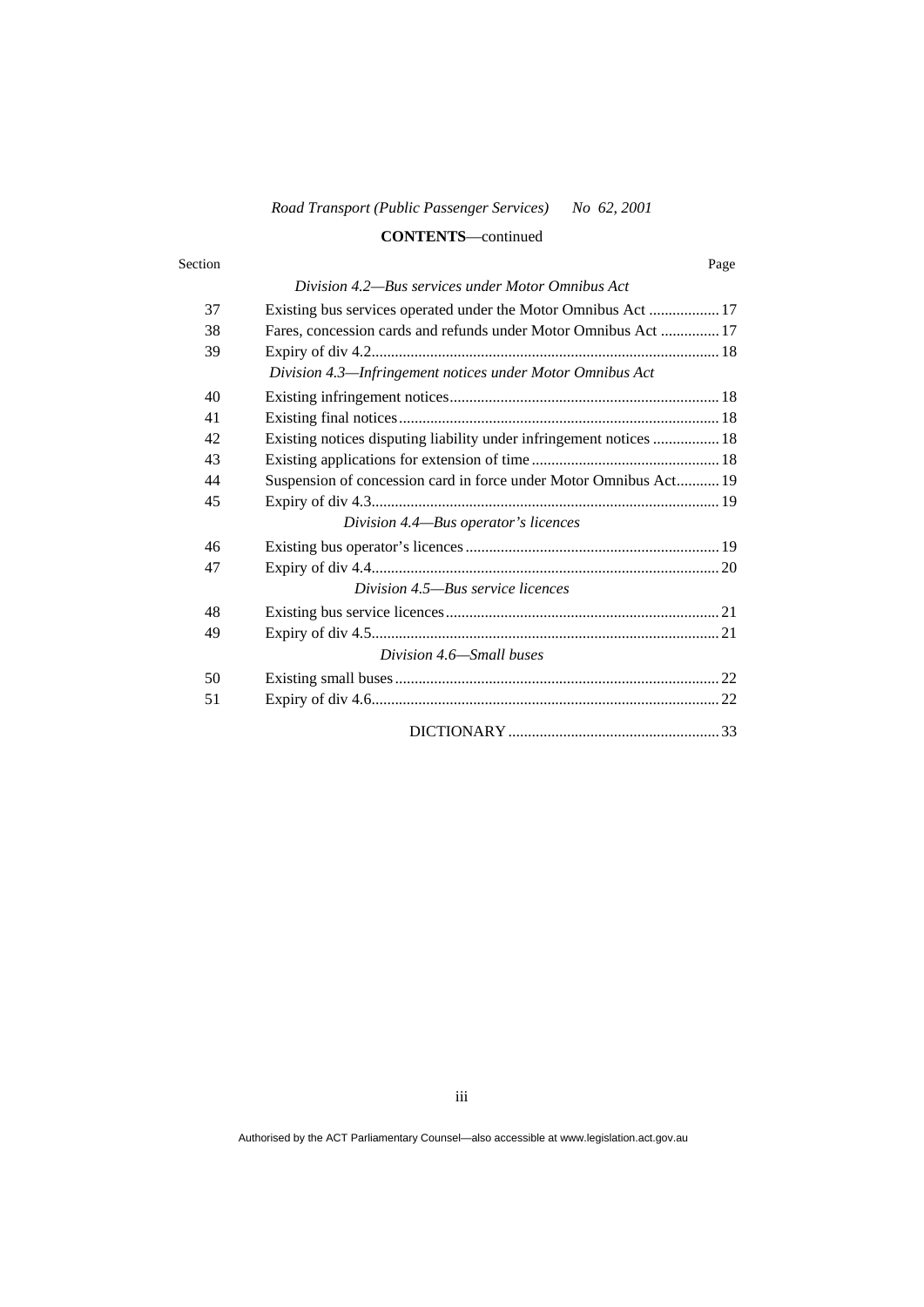### **CONTENTS**—continued

#### Section Page

#### *Division 4.2—Bus services under Motor Omnibus Act*

| 37 |                                                                     |
|----|---------------------------------------------------------------------|
| 38 | Fares, concession cards and refunds under Motor Omnibus Act  17     |
| 39 |                                                                     |
|    | Division 4.3-Infringement notices under Motor Omnibus Act           |
| 40 |                                                                     |
| 41 |                                                                     |
| 42 | Existing notices disputing liability under infringement notices  18 |
| 43 |                                                                     |
| 44 | Suspension of concession card in force under Motor Omnibus Act 19   |
| 45 |                                                                     |
|    | Division 4.4-Bus operator's licences                                |
| 46 |                                                                     |
| 47 |                                                                     |
|    | Division 4.5—Bus service licences                                   |
| 48 |                                                                     |
| 49 |                                                                     |
|    | Division 4.6—Small buses                                            |
| 50 |                                                                     |
| 51 |                                                                     |
|    |                                                                     |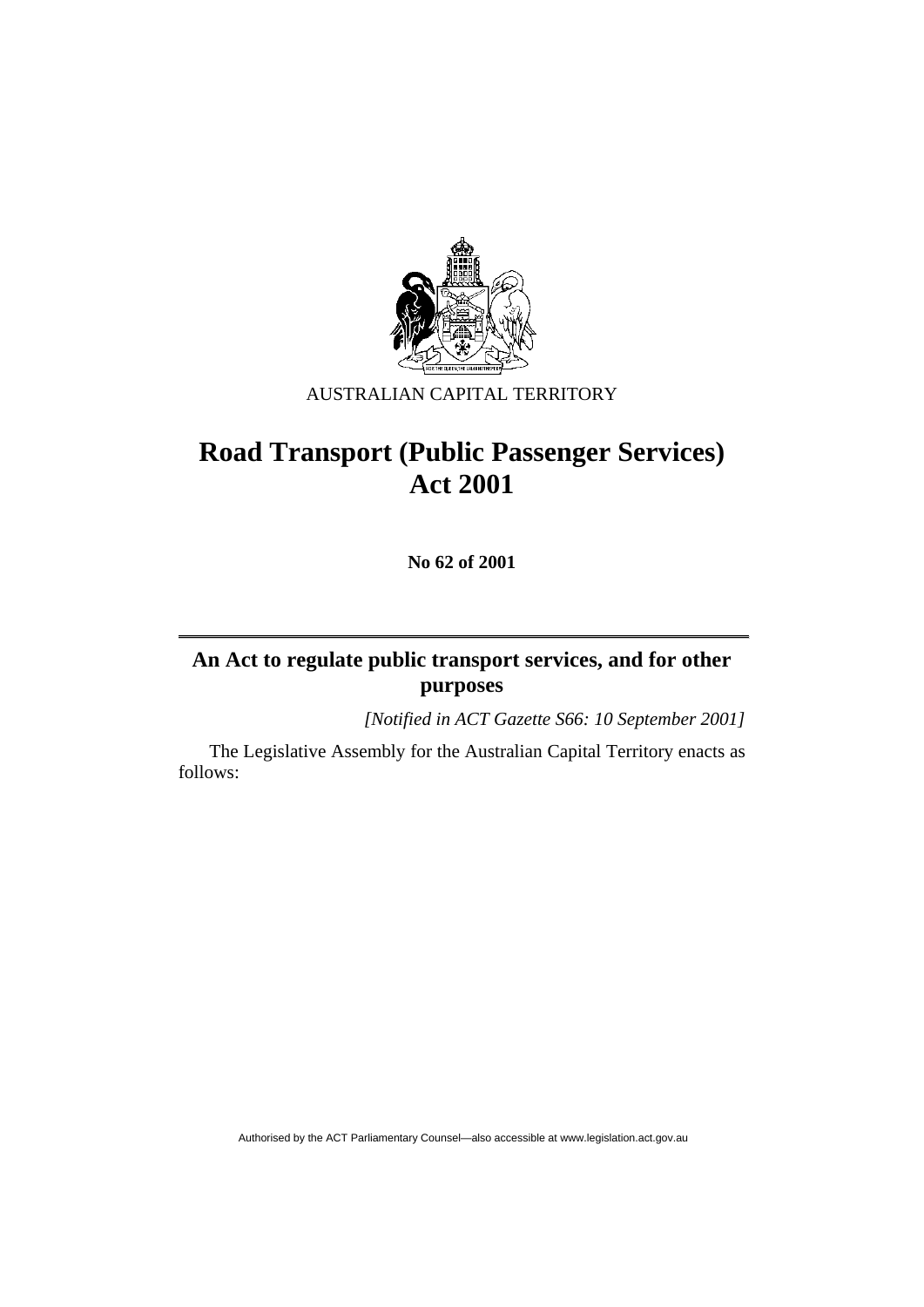

# AUSTRALIAN CAPITAL TERRITORY

# **Road Transport (Public Passenger Services) Act 2001**

**No 62 of 2001** 

# **An Act to regulate public transport services, and for other purposes**

*[Notified in ACT Gazette S66: 10 September 2001]* 

 The Legislative Assembly for the Australian Capital Territory enacts as follows: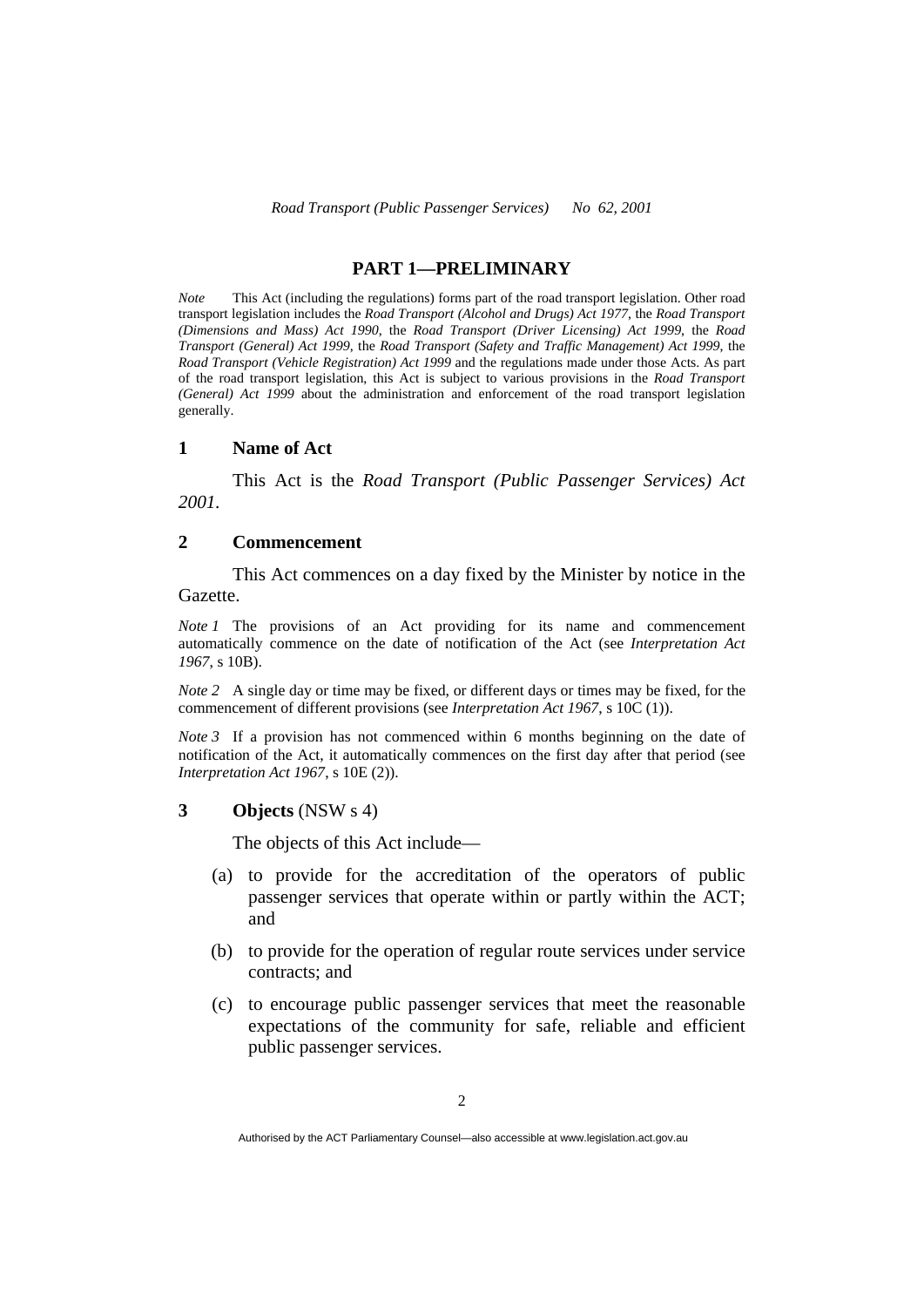#### **PART 1—PRELIMINARY**

*Note* This Act (including the regulations) forms part of the road transport legislation. Other road transport legislation includes the *Road Transport (Alcohol and Drugs) Act 1977*, the *Road Transport (Dimensions and Mass) Act 1990*, the *Road Transport (Driver Licensing) Act 1999*, the *Road Transport (General) Act 1999*, the *Road Transport (Safety and Traffic Management) Act 1999*, the *Road Transport (Vehicle Registration) Act 1999* and the regulations made under those Acts. As part of the road transport legislation, this Act is subject to various provisions in the *Road Transport (General) Act 1999* about the administration and enforcement of the road transport legislation generally.

#### **1 Name of Act**

 This Act is the *Road Transport (Public Passenger Services) Act 2001.* 

#### **2 Commencement**

 This Act commences on a day fixed by the Minister by notice in the Gazette.

*Note 1* The provisions of an Act providing for its name and commencement automatically commence on the date of notification of the Act (see *Interpretation Act 1967*, s 10B).

*Note 2* A single day or time may be fixed, or different days or times may be fixed, for the commencement of different provisions (see *Interpretation Act 1967*, s 10C (1)).

*Note 3* If a provision has not commenced within 6 months beginning on the date of notification of the Act, it automatically commences on the first day after that period (see *Interpretation Act 1967*, s 10E (2)).

#### **3 Objects** (NSW s 4)

The objects of this Act include—

- (a) to provide for the accreditation of the operators of public passenger services that operate within or partly within the ACT; and
- (b) to provide for the operation of regular route services under service contracts; and
- (c) to encourage public passenger services that meet the reasonable expectations of the community for safe, reliable and efficient public passenger services.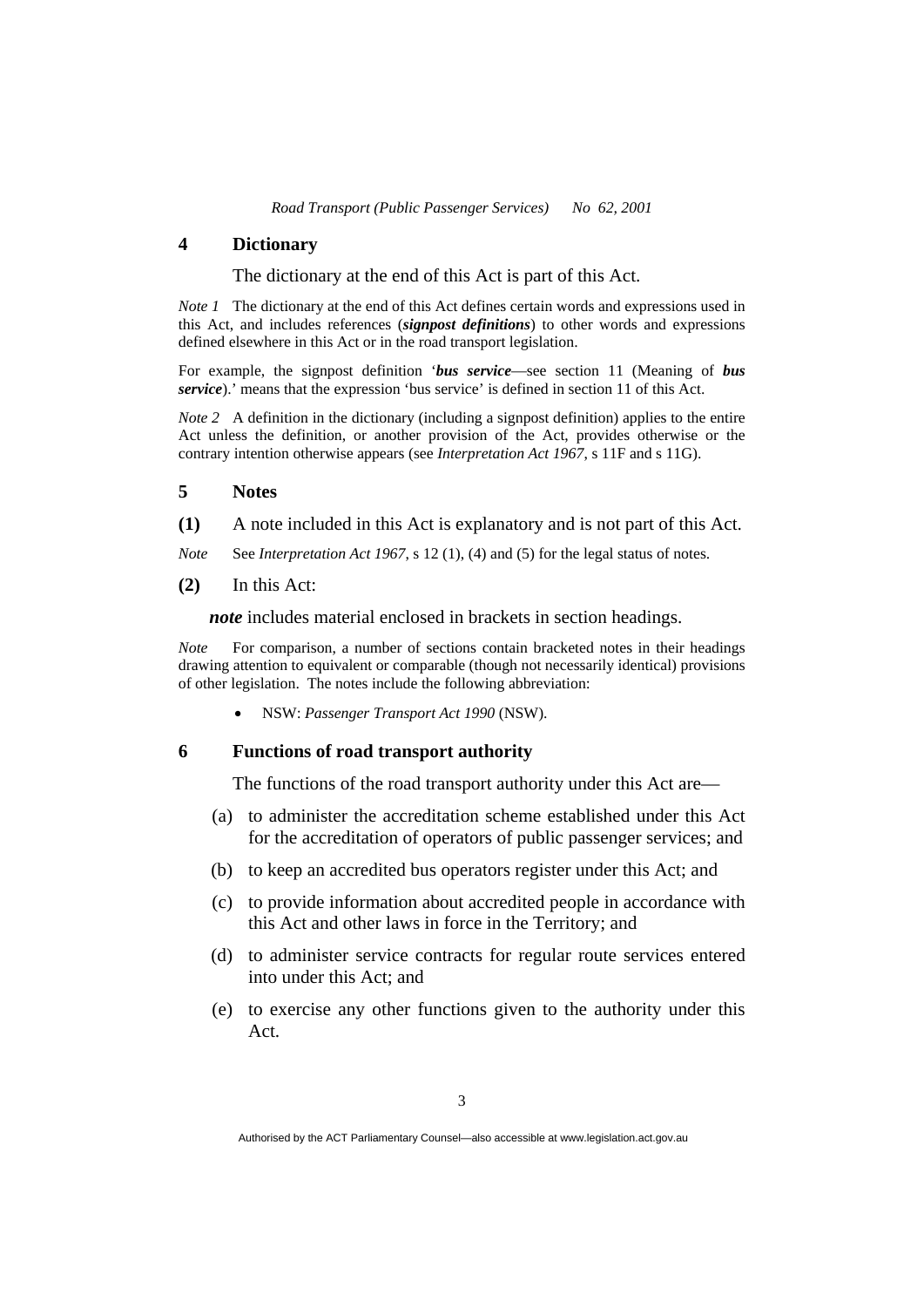#### **4 Dictionary**

The dictionary at the end of this Act is part of this Act.

*Note 1* The dictionary at the end of this Act defines certain words and expressions used in this Act, and includes references (*signpost definitions*) to other words and expressions defined elsewhere in this Act or in the road transport legislation.

For example, the signpost definition '*bus service*—see section 11 (Meaning of *bus service*).' means that the expression 'bus service' is defined in section 11 of this Act.

*Note 2* A definition in the dictionary (including a signpost definition) applies to the entire Act unless the definition, or another provision of the Act, provides otherwise or the contrary intention otherwise appears (see *Interpretation Act 1967*, s 11F and s 11G).

#### **5 Notes**

**(1)** A note included in this Act is explanatory and is not part of this Act.

*Note* See *Interpretation Act 1967*, s 12 (1), (4) and (5) for the legal status of notes.

**(2)** In this Act:

*note* includes material enclosed in brackets in section headings.

*Note* For comparison, a number of sections contain bracketed notes in their headings drawing attention to equivalent or comparable (though not necessarily identical) provisions of other legislation. The notes include the following abbreviation:

NSW: *Passenger Transport Act 1990* (NSW).

#### **6 Functions of road transport authority**

The functions of the road transport authority under this Act are—

- (a) to administer the accreditation scheme established under this Act for the accreditation of operators of public passenger services; and
- (b) to keep an accredited bus operators register under this Act; and
- (c) to provide information about accredited people in accordance with this Act and other laws in force in the Territory; and
- (d) to administer service contracts for regular route services entered into under this Act; and
- (e) to exercise any other functions given to the authority under this Act.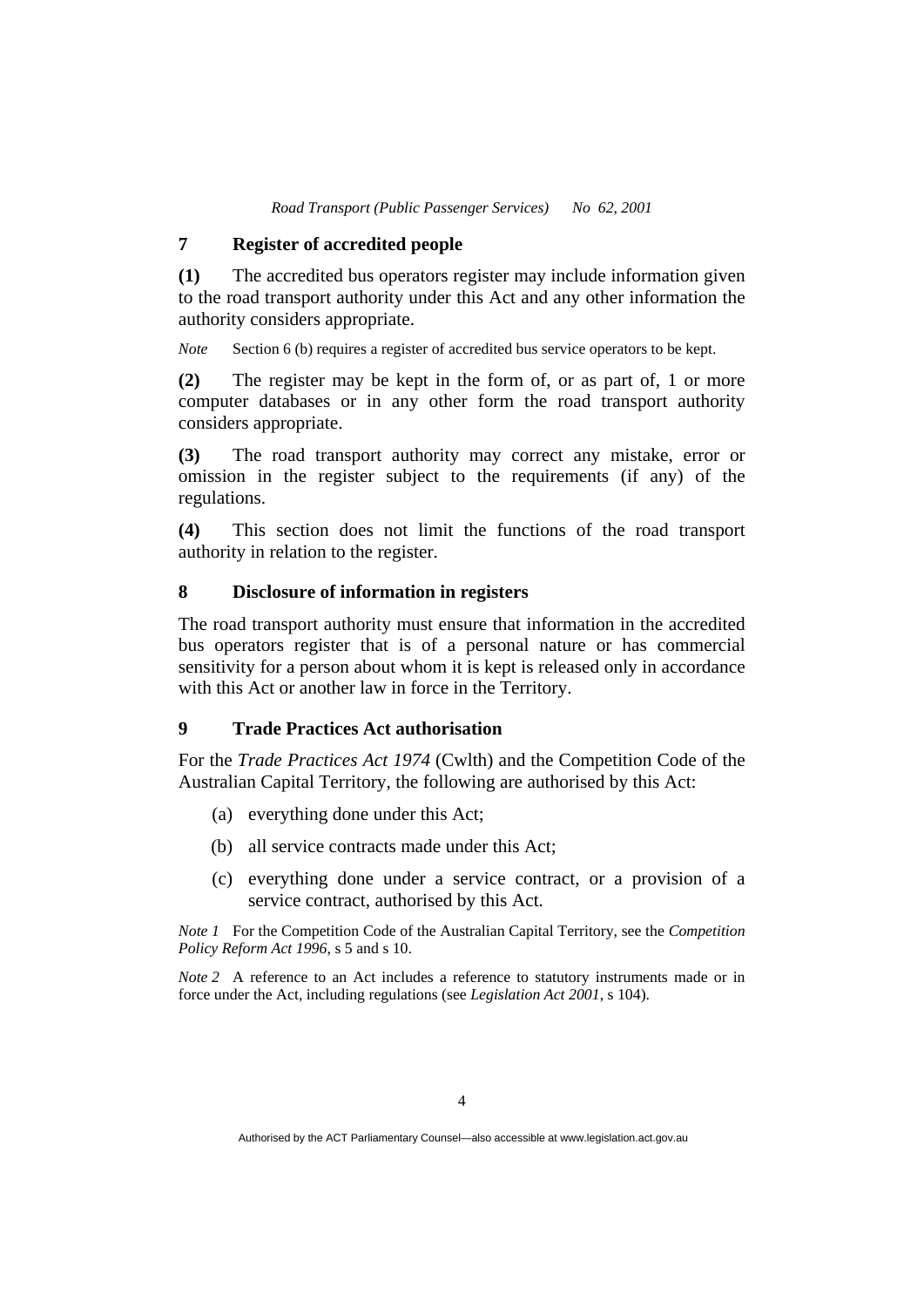# **7 Register of accredited people**

**(1)** The accredited bus operators register may include information given to the road transport authority under this Act and any other information the authority considers appropriate.

*Note* Section 6 (b) requires a register of accredited bus service operators to be kept.

**(2)** The register may be kept in the form of, or as part of, 1 or more computer databases or in any other form the road transport authority considers appropriate.

**(3)** The road transport authority may correct any mistake, error or omission in the register subject to the requirements (if any) of the regulations.

**(4)** This section does not limit the functions of the road transport authority in relation to the register.

#### **8 Disclosure of information in registers**

The road transport authority must ensure that information in the accredited bus operators register that is of a personal nature or has commercial sensitivity for a person about whom it is kept is released only in accordance with this Act or another law in force in the Territory.

#### **9 Trade Practices Act authorisation**

For the *Trade Practices Act 1974* (Cwlth) and the Competition Code of the Australian Capital Territory, the following are authorised by this Act:

- (a) everything done under this Act;
- (b) all service contracts made under this Act;
- (c) everything done under a service contract, or a provision of a service contract, authorised by this Act.

*Note 1* For the Competition Code of the Australian Capital Territory, see the *Competition Policy Reform Act 1996*, s 5 and s 10.

*Note 2* A reference to an Act includes a reference to statutory instruments made or in force under the Act, including regulations (see *Legislation Act 2001*, s 104).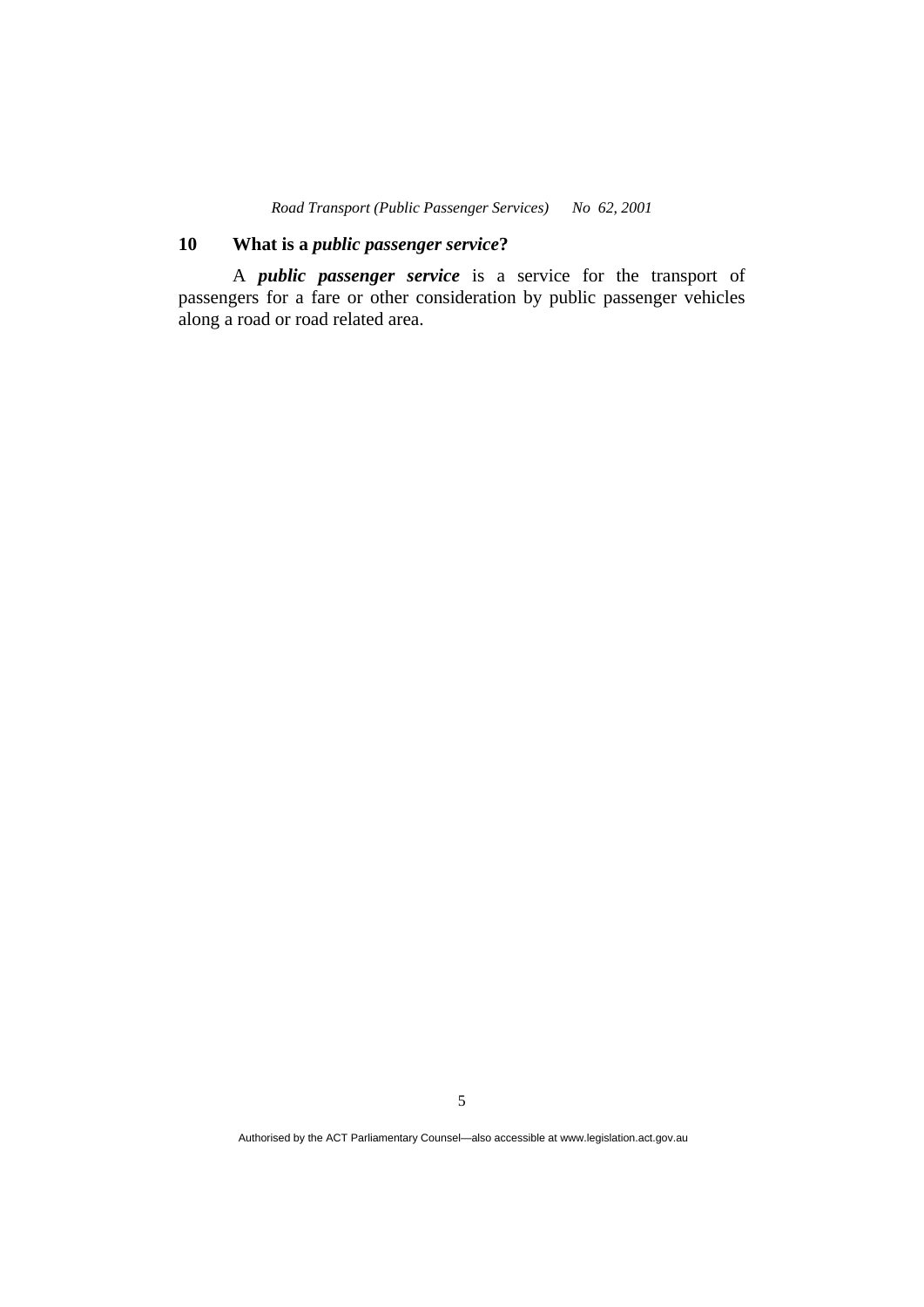# **10 What is a** *public passenger service***?**

 A *public passenger service* is a service for the transport of passengers for a fare or other consideration by public passenger vehicles along a road or road related area.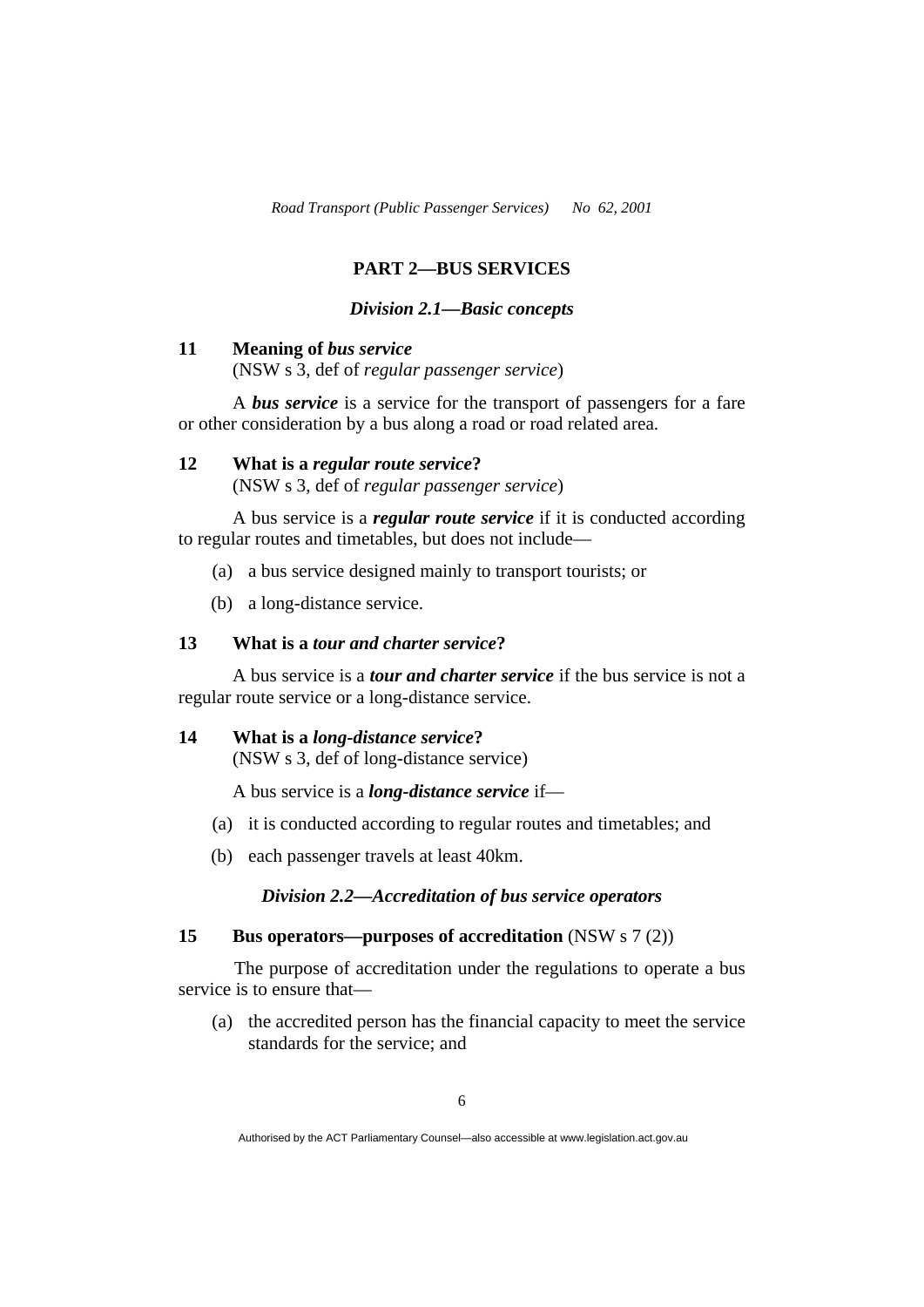# **PART 2—BUS SERVICES**

#### *Division 2.1—Basic concepts*

#### **11 Meaning of** *bus service*

(NSW s 3, def of *regular passenger service*)

 A *bus service* is a service for the transport of passengers for a fare or other consideration by a bus along a road or road related area.

# **12 What is a** *regular route service***?**

(NSW s 3, def of *regular passenger service*)

A bus service is a *regular route service* if it is conducted according to regular routes and timetables, but does not include—

- (a) a bus service designed mainly to transport tourists; or
- (b) a long-distance service.

### **13 What is a** *tour and charter service***?**

 A bus service is a *tour and charter service* if the bus service is not a regular route service or a long-distance service.

#### **14 What is a** *long-distance service***?**

(NSW s 3, def of long-distance service)

A bus service is a *long-distance service* if—

- (a) it is conducted according to regular routes and timetables; and
- (b) each passenger travels at least 40km.

# *Division 2.2—Accreditation of bus service operators*

#### **15 Bus operators—purposes of accreditation** (NSW s 7 (2))

 The purpose of accreditation under the regulations to operate a bus service is to ensure that—

 (a) the accredited person has the financial capacity to meet the service standards for the service; and

Authorised by the ACT Parliamentary Counsel—also accessible at www.legislation.act.gov.au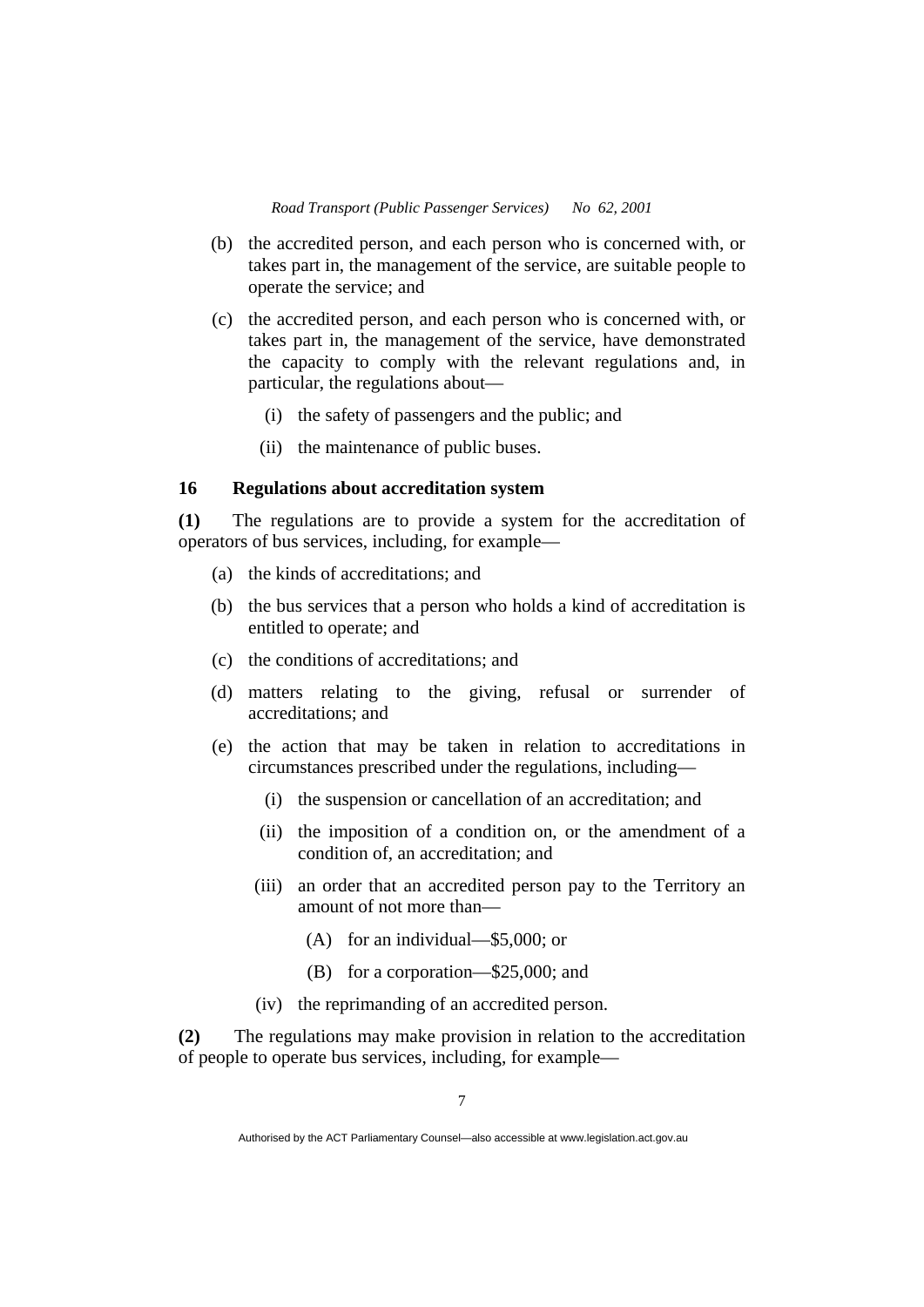- (b) the accredited person, and each person who is concerned with, or takes part in, the management of the service, are suitable people to operate the service; and
- (c) the accredited person, and each person who is concerned with, or takes part in, the management of the service, have demonstrated the capacity to comply with the relevant regulations and, in particular, the regulations about—
	- (i) the safety of passengers and the public; and
	- (ii) the maintenance of public buses.

#### **16 Regulations about accreditation system**

**(1)** The regulations are to provide a system for the accreditation of operators of bus services, including, for example—

- (a) the kinds of accreditations; and
- (b) the bus services that a person who holds a kind of accreditation is entitled to operate; and
- (c) the conditions of accreditations; and
- (d) matters relating to the giving, refusal or surrender of accreditations; and
- (e) the action that may be taken in relation to accreditations in circumstances prescribed under the regulations, including—
	- (i) the suspension or cancellation of an accreditation; and
	- (ii) the imposition of a condition on, or the amendment of a condition of, an accreditation; and
	- (iii) an order that an accredited person pay to the Territory an amount of not more than—
		- (A) for an individual—\$5,000; or
		- (B) for a corporation—\$25,000; and
	- (iv) the reprimanding of an accredited person.

**(2)** The regulations may make provision in relation to the accreditation of people to operate bus services, including, for example—

Authorised by the ACT Parliamentary Counsel—also accessible at www.legislation.act.gov.au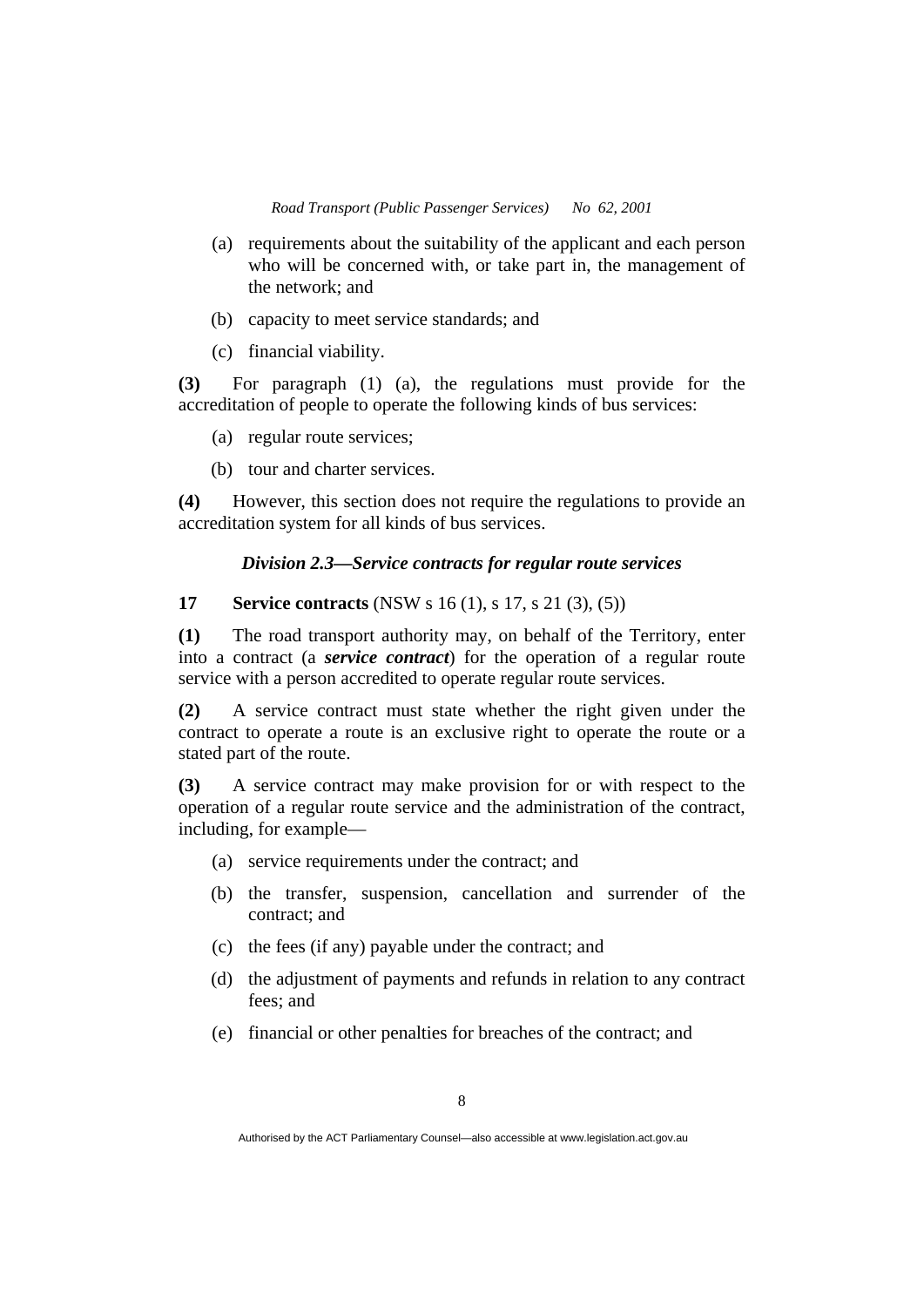- (a) requirements about the suitability of the applicant and each person who will be concerned with, or take part in, the management of the network; and
- (b) capacity to meet service standards; and
- (c) financial viability.

**(3)** For paragraph (1) (a), the regulations must provide for the accreditation of people to operate the following kinds of bus services:

- (a) regular route services;
- (b) tour and charter services.

**(4)** However, this section does not require the regulations to provide an accreditation system for all kinds of bus services.

#### *Division 2.3—Service contracts for regular route services*

#### **17** Service contracts (NSW s 16 (1), s 17, s 21 (3), (5))

**(1)** The road transport authority may, on behalf of the Territory, enter into a contract (a *service contract*) for the operation of a regular route service with a person accredited to operate regular route services.

**(2)** A service contract must state whether the right given under the contract to operate a route is an exclusive right to operate the route or a stated part of the route.

**(3)** A service contract may make provision for or with respect to the operation of a regular route service and the administration of the contract, including, for example—

- (a) service requirements under the contract; and
- (b) the transfer, suspension, cancellation and surrender of the contract; and
- (c) the fees (if any) payable under the contract; and
- (d) the adjustment of payments and refunds in relation to any contract fees; and
- (e) financial or other penalties for breaches of the contract; and

Authorised by the ACT Parliamentary Counsel—also accessible at www.legislation.act.gov.au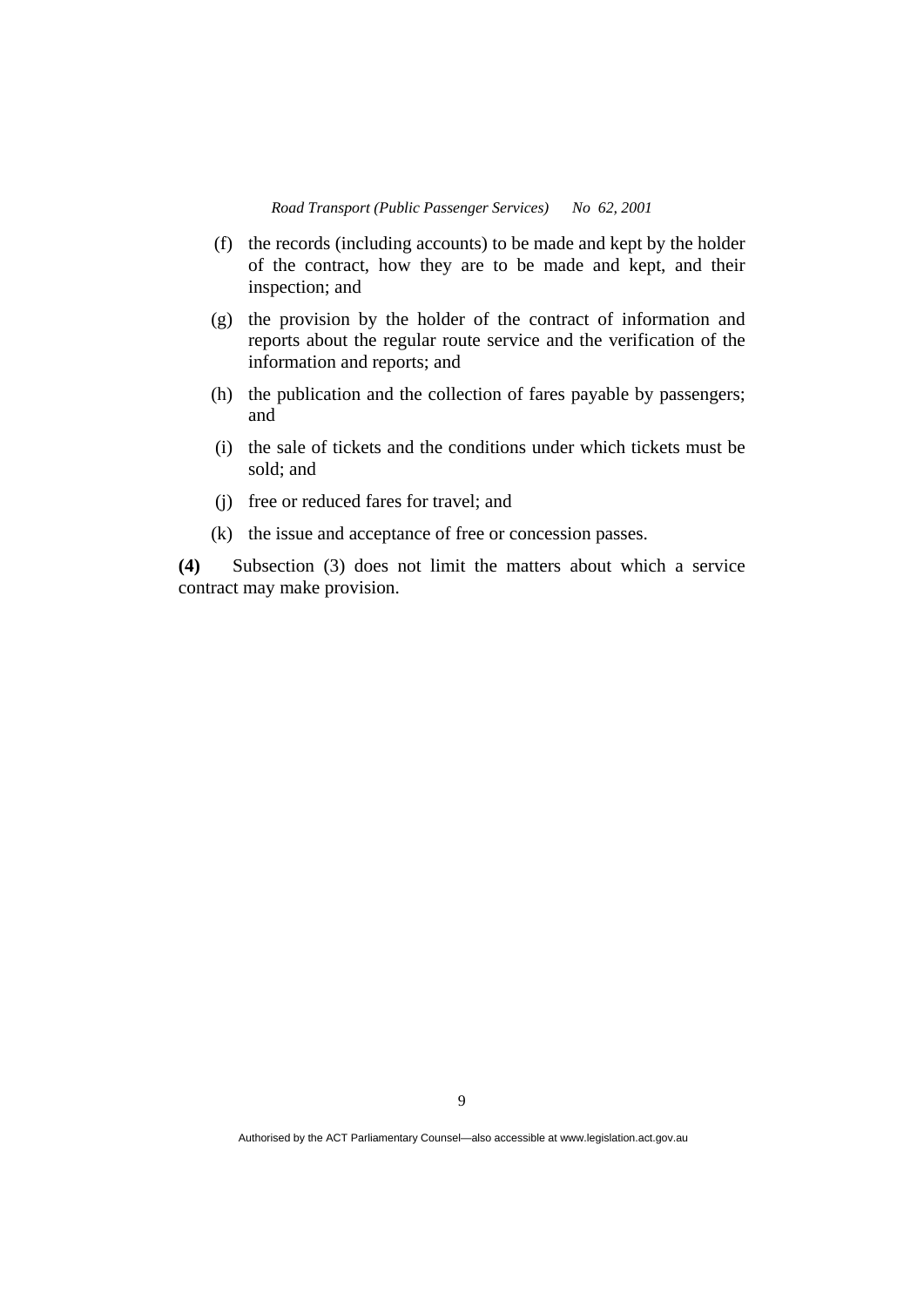- (f) the records (including accounts) to be made and kept by the holder of the contract, how they are to be made and kept, and their inspection; and
- (g) the provision by the holder of the contract of information and reports about the regular route service and the verification of the information and reports; and
- (h) the publication and the collection of fares payable by passengers; and
- (i) the sale of tickets and the conditions under which tickets must be sold; and
- (j) free or reduced fares for travel; and
- (k) the issue and acceptance of free or concession passes.

**(4)** Subsection (3) does not limit the matters about which a service contract may make provision.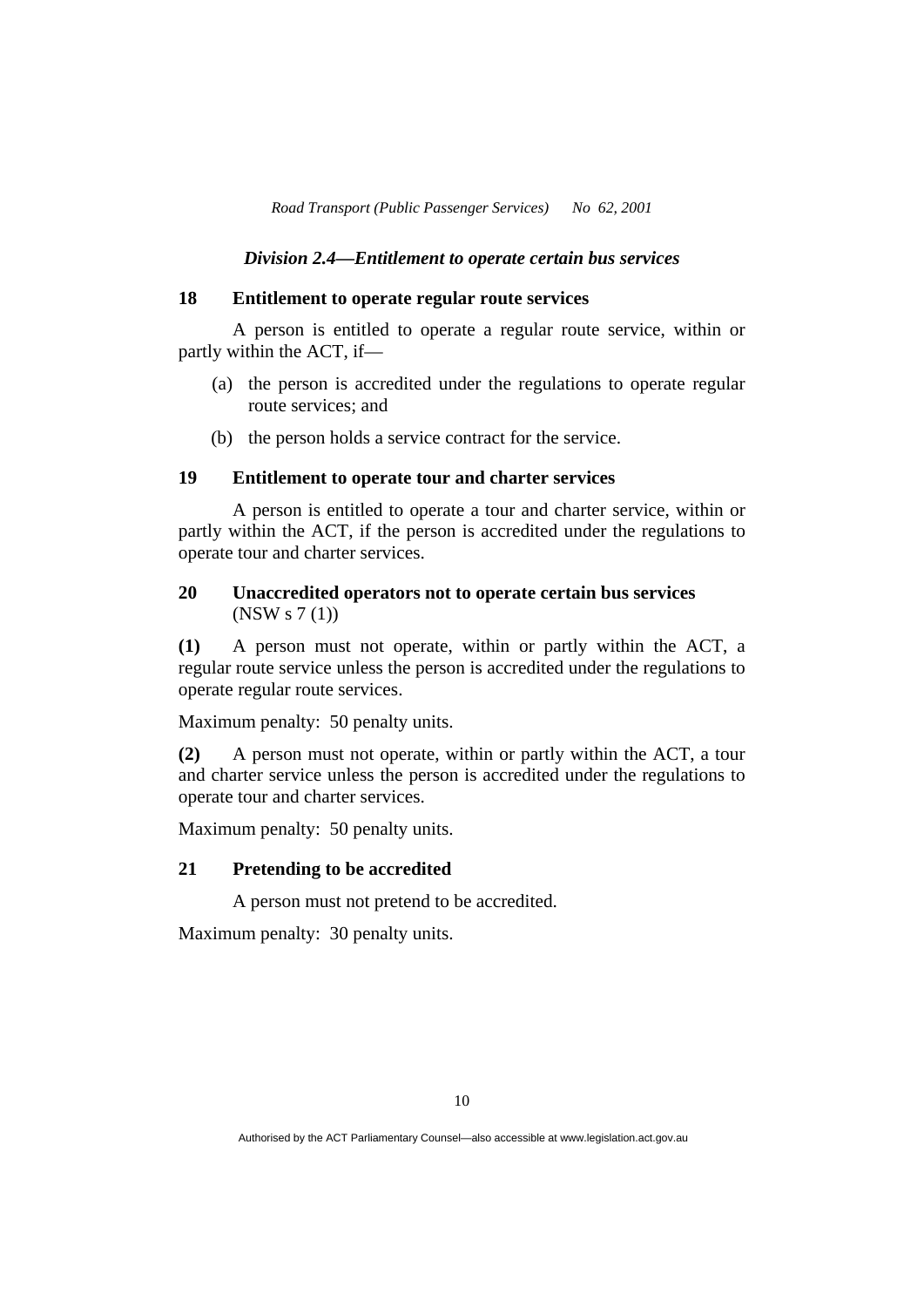#### *Division 2.4—Entitlement to operate certain bus services*

#### **18 Entitlement to operate regular route services**

 A person is entitled to operate a regular route service, within or partly within the ACT, if—

- (a) the person is accredited under the regulations to operate regular route services; and
- (b) the person holds a service contract for the service.

# **19 Entitlement to operate tour and charter services**

 A person is entitled to operate a tour and charter service, within or partly within the ACT, if the person is accredited under the regulations to operate tour and charter services.

#### **20 Unaccredited operators not to operate certain bus services**  (NSW s 7 (1))

**(1)** A person must not operate, within or partly within the ACT, a regular route service unless the person is accredited under the regulations to operate regular route services.

Maximum penalty: 50 penalty units.

**(2)** A person must not operate, within or partly within the ACT, a tour and charter service unless the person is accredited under the regulations to operate tour and charter services.

Maximum penalty: 50 penalty units.

#### **21 Pretending to be accredited**

A person must not pretend to be accredited.

Maximum penalty: 30 penalty units.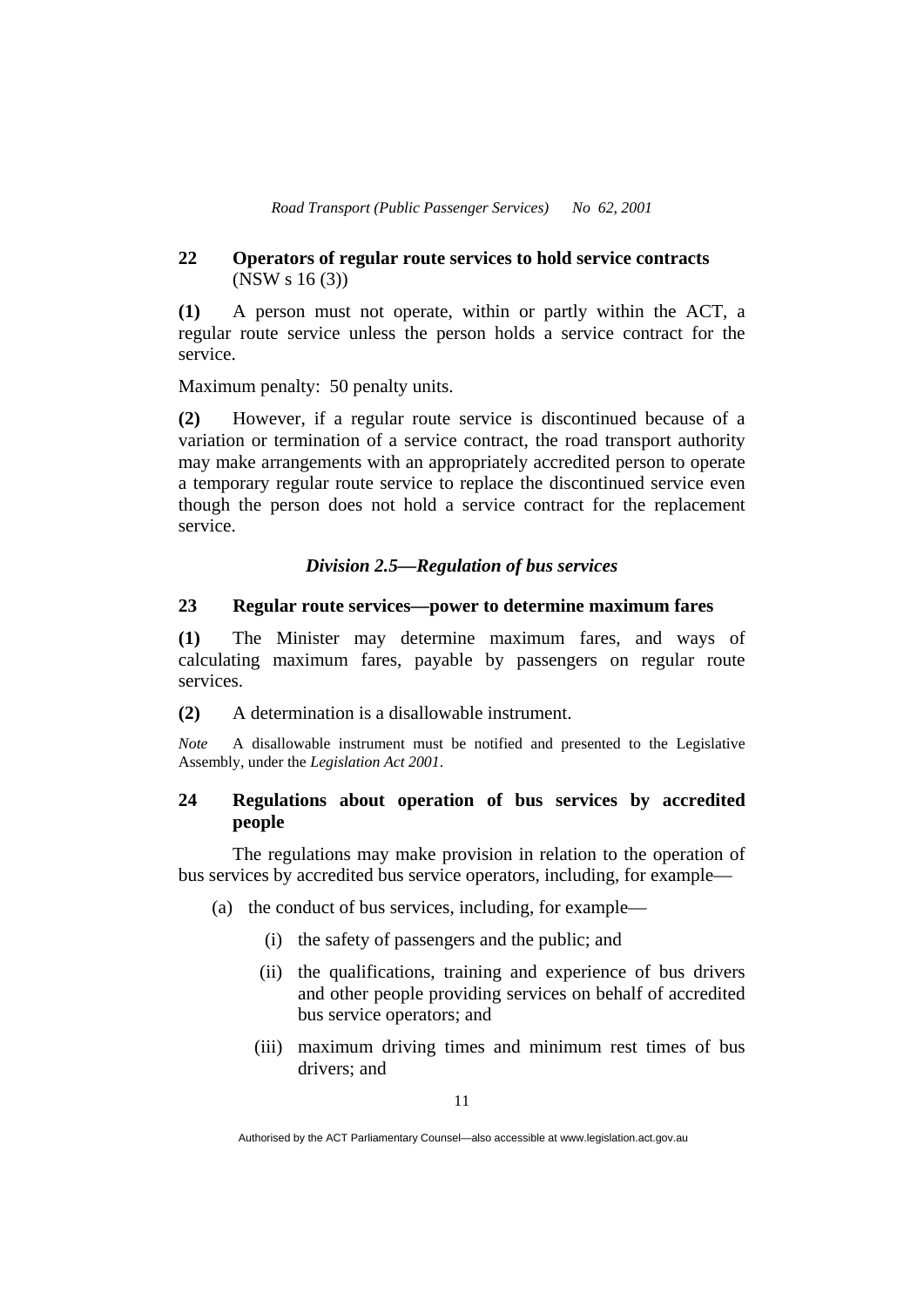## **22 Operators of regular route services to hold service contracts**  (NSW s 16 (3))

**(1)** A person must not operate, within or partly within the ACT, a regular route service unless the person holds a service contract for the service.

Maximum penalty: 50 penalty units.

**(2)** However, if a regular route service is discontinued because of a variation or termination of a service contract, the road transport authority may make arrangements with an appropriately accredited person to operate a temporary regular route service to replace the discontinued service even though the person does not hold a service contract for the replacement service.

#### *Division 2.5—Regulation of bus services*

### **23 Regular route services—power to determine maximum fares**

**(1)** The Minister may determine maximum fares, and ways of calculating maximum fares, payable by passengers on regular route services.

**(2)** A determination is a disallowable instrument.

*Note* A disallowable instrument must be notified and presented to the Legislative Assembly, under the *Legislation Act 2001*.

## **24 Regulations about operation of bus services by accredited people**

 The regulations may make provision in relation to the operation of bus services by accredited bus service operators, including, for example—

(a) the conduct of bus services, including, for example—

- (i) the safety of passengers and the public; and
- (ii) the qualifications, training and experience of bus drivers and other people providing services on behalf of accredited bus service operators; and
- (iii) maximum driving times and minimum rest times of bus drivers; and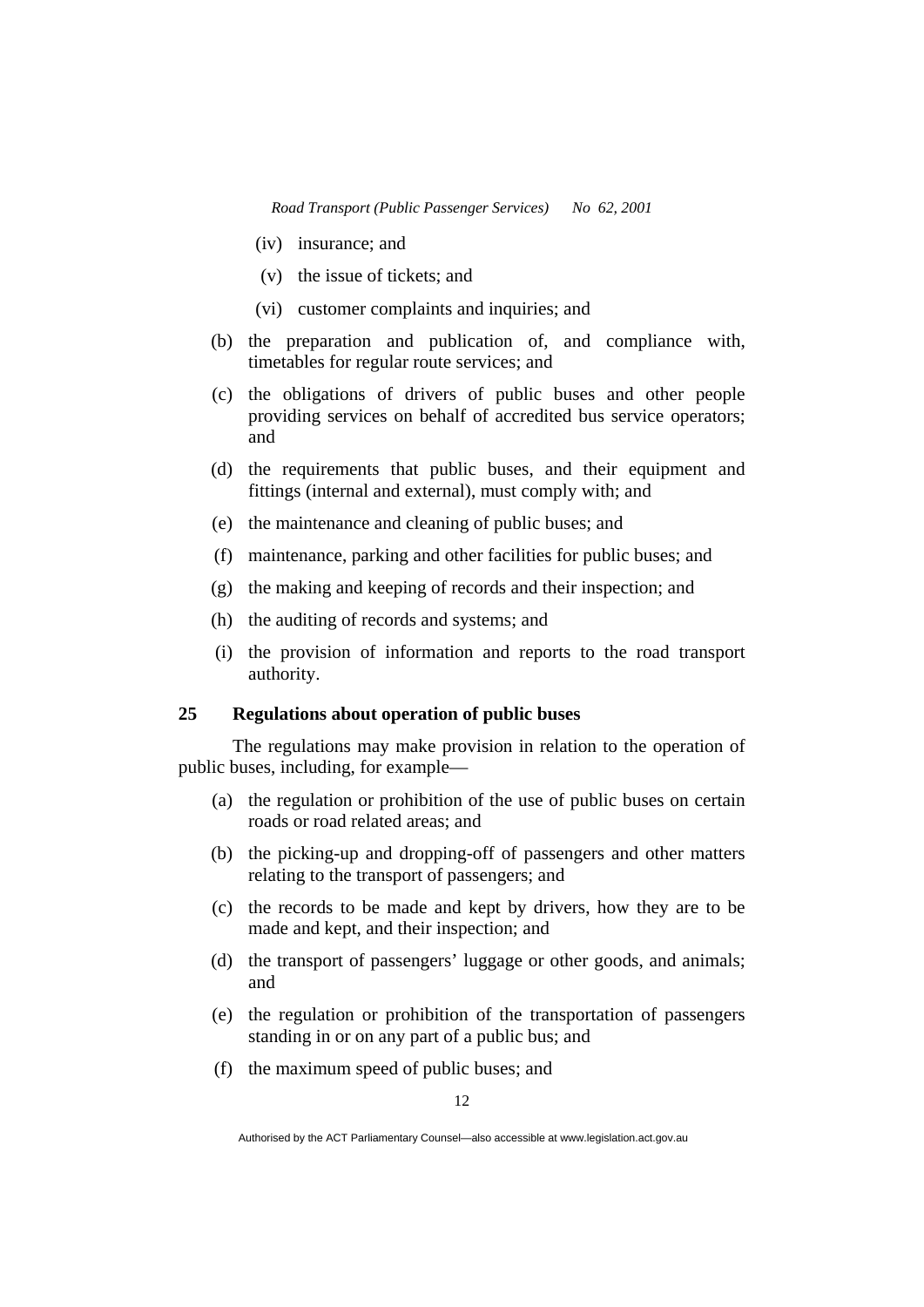- (iv) insurance; and
- (v) the issue of tickets; and
- (vi) customer complaints and inquiries; and
- (b) the preparation and publication of, and compliance with, timetables for regular route services; and
- (c) the obligations of drivers of public buses and other people providing services on behalf of accredited bus service operators; and
- (d) the requirements that public buses, and their equipment and fittings (internal and external), must comply with; and
- (e) the maintenance and cleaning of public buses; and
- (f) maintenance, parking and other facilities for public buses; and
- (g) the making and keeping of records and their inspection; and
- (h) the auditing of records and systems; and
- (i) the provision of information and reports to the road transport authority.

#### **25 Regulations about operation of public buses**

 The regulations may make provision in relation to the operation of public buses, including, for example—

- (a) the regulation or prohibition of the use of public buses on certain roads or road related areas; and
- (b) the picking-up and dropping-off of passengers and other matters relating to the transport of passengers; and
- (c) the records to be made and kept by drivers, how they are to be made and kept, and their inspection; and
- (d) the transport of passengers' luggage or other goods, and animals; and
- (e) the regulation or prohibition of the transportation of passengers standing in or on any part of a public bus; and
- (f) the maximum speed of public buses; and

Authorised by the ACT Parliamentary Counsel—also accessible at www.legislation.act.gov.au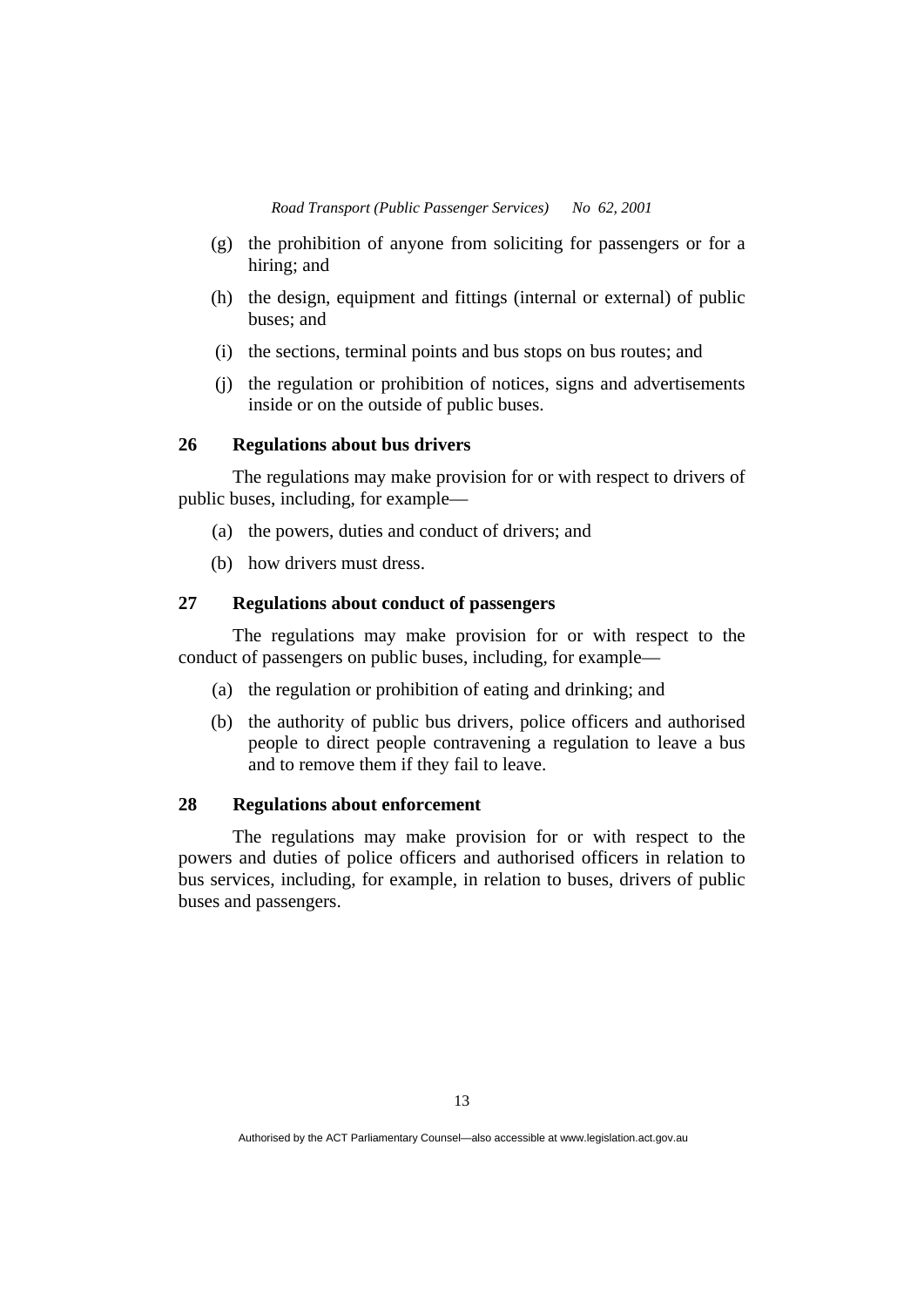- (g) the prohibition of anyone from soliciting for passengers or for a hiring; and
- (h) the design, equipment and fittings (internal or external) of public buses; and
- (i) the sections, terminal points and bus stops on bus routes; and
- (j) the regulation or prohibition of notices, signs and advertisements inside or on the outside of public buses.

#### **26 Regulations about bus drivers**

 The regulations may make provision for or with respect to drivers of public buses, including, for example—

- (a) the powers, duties and conduct of drivers; and
- (b) how drivers must dress.

# **27 Regulations about conduct of passengers**

 The regulations may make provision for or with respect to the conduct of passengers on public buses, including, for example—

- (a) the regulation or prohibition of eating and drinking; and
- (b) the authority of public bus drivers, police officers and authorised people to direct people contravening a regulation to leave a bus and to remove them if they fail to leave.

#### **28 Regulations about enforcement**

 The regulations may make provision for or with respect to the powers and duties of police officers and authorised officers in relation to bus services, including, for example, in relation to buses, drivers of public buses and passengers.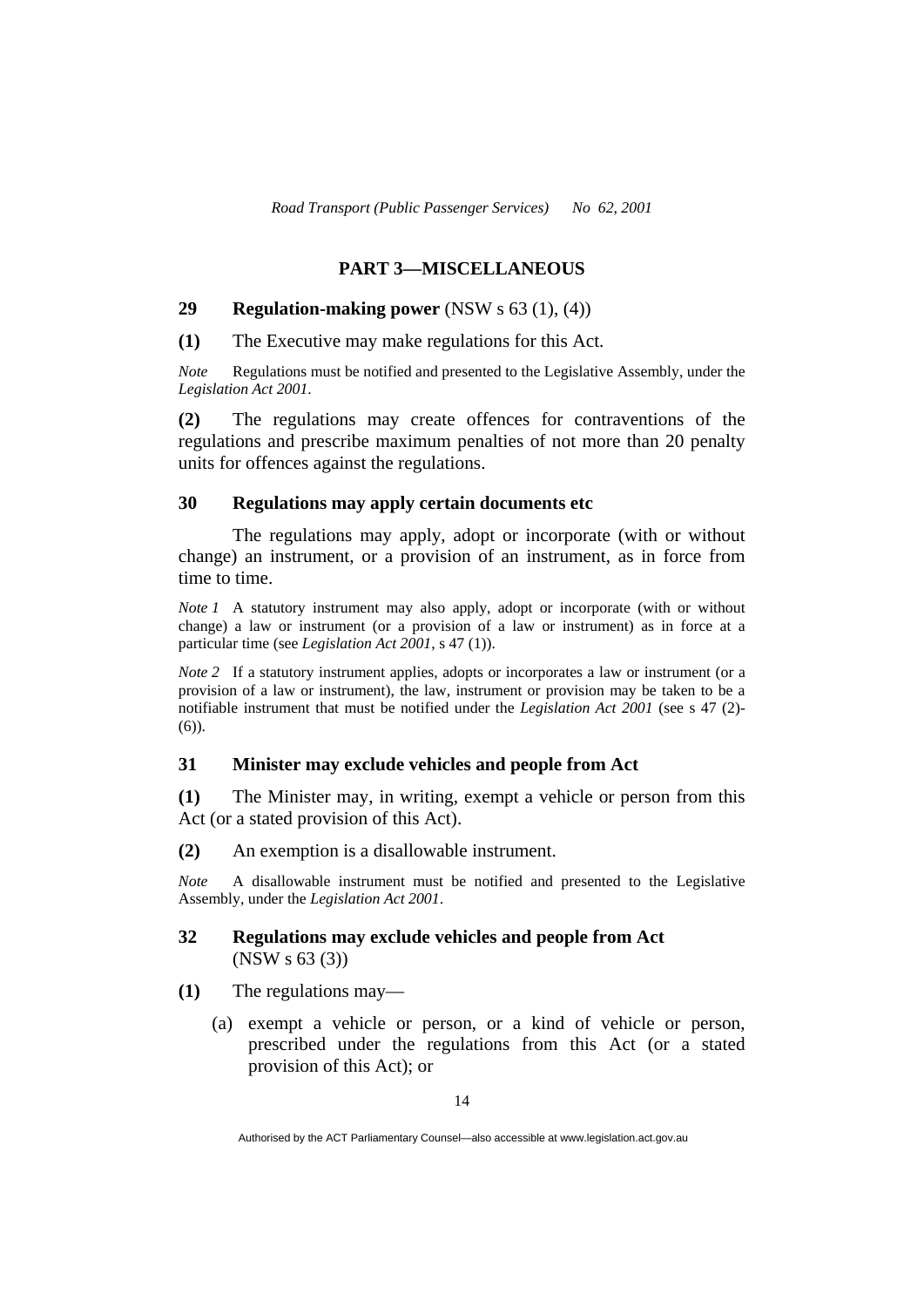## **PART 3—MISCELLANEOUS**

#### **29 Regulation-making power** (NSW s 63 (1), (4))

**(1)** The Executive may make regulations for this Act.

*Note* Regulations must be notified and presented to the Legislative Assembly, under the *Legislation Act 2001*.

**(2)** The regulations may create offences for contraventions of the regulations and prescribe maximum penalties of not more than 20 penalty units for offences against the regulations.

#### **30 Regulations may apply certain documents etc**

 The regulations may apply, adopt or incorporate (with or without change) an instrument, or a provision of an instrument, as in force from time to time.

*Note 1* A statutory instrument may also apply, adopt or incorporate (with or without change) a law or instrument (or a provision of a law or instrument) as in force at a particular time (see *Legislation Act 2001*, s 47 (1)).

*Note 2* If a statutory instrument applies, adopts or incorporates a law or instrument (or a provision of a law or instrument), the law, instrument or provision may be taken to be a notifiable instrument that must be notified under the *Legislation Act 2001* (see s 47 (2)- (6)).

#### **31 Minister may exclude vehicles and people from Act**

**(1)** The Minister may, in writing, exempt a vehicle or person from this Act (or a stated provision of this Act).

**(2)** An exemption is a disallowable instrument.

*Note* A disallowable instrument must be notified and presented to the Legislative Assembly, under the *Legislation Act 2001*.

### **32 Regulations may exclude vehicles and people from Act**  (NSW s 63 (3))

- **(1)** The regulations may—
	- (a) exempt a vehicle or person, or a kind of vehicle or person, prescribed under the regulations from this Act (or a stated provision of this Act); or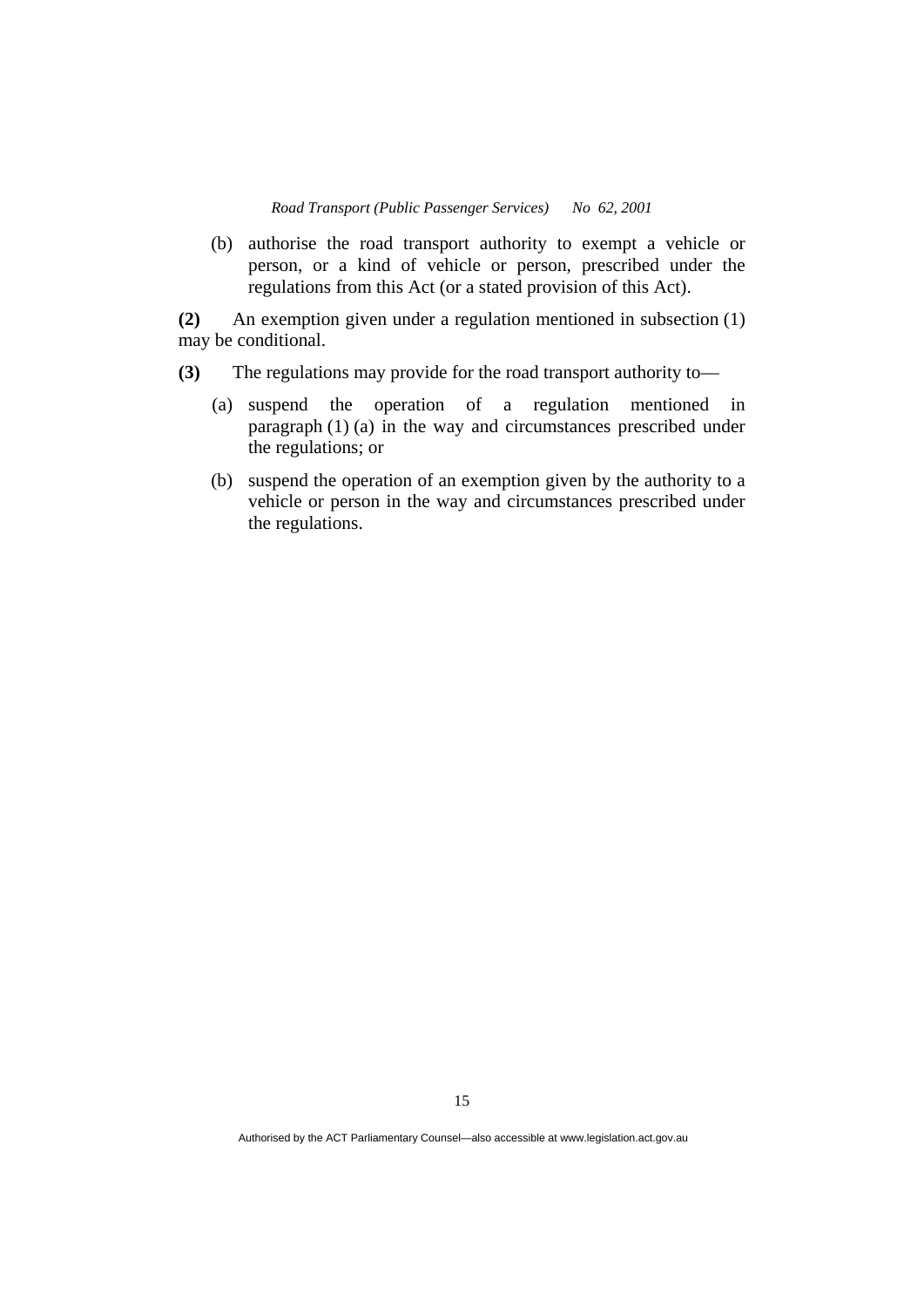(b) authorise the road transport authority to exempt a vehicle or person, or a kind of vehicle or person, prescribed under the regulations from this Act (or a stated provision of this Act).

**(2)** An exemption given under a regulation mentioned in subsection (1) may be conditional.

- **(3)** The regulations may provide for the road transport authority to—
	- (a) suspend the operation of a regulation mentioned in paragraph (1) (a) in the way and circumstances prescribed under the regulations; or
	- (b) suspend the operation of an exemption given by the authority to a vehicle or person in the way and circumstances prescribed under the regulations.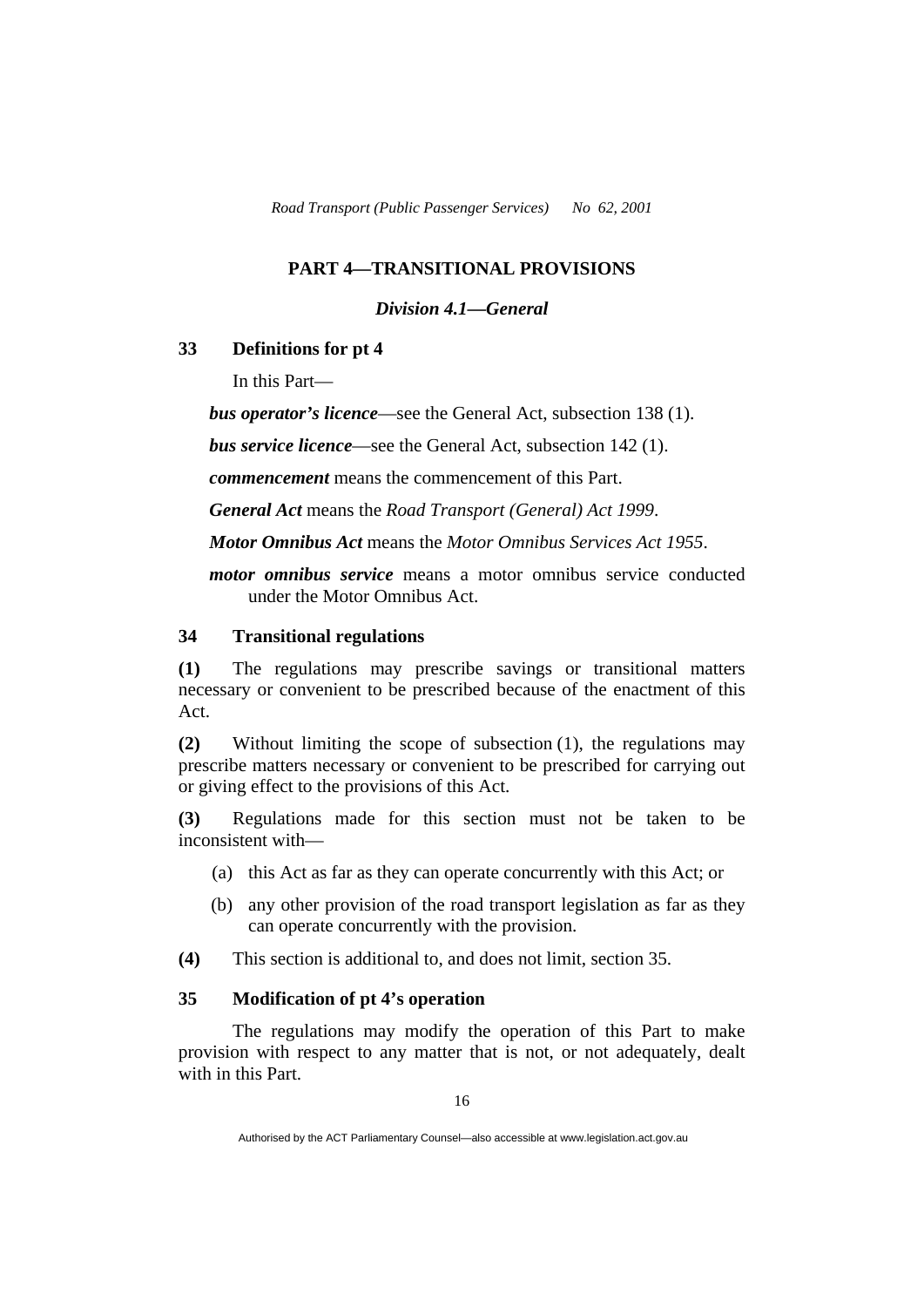### **PART 4—TRANSITIONAL PROVISIONS**

#### *Division 4.1—General*

#### **33 Definitions for pt 4**

In this Part—

*bus operator's licence*—see the General Act, subsection 138 (1).

*bus service licence*—see the General Act, subsection 142 (1).

*commencement* means the commencement of this Part.

*General Act* means the *Road Transport (General) Act 1999*.

*Motor Omnibus Act* means the *Motor Omnibus Services Act 1955*.

*motor omnibus service* means a motor omnibus service conducted under the Motor Omnibus Act.

## **34 Transitional regulations**

**(1)** The regulations may prescribe savings or transitional matters necessary or convenient to be prescribed because of the enactment of this Act.

**(2)** Without limiting the scope of subsection (1), the regulations may prescribe matters necessary or convenient to be prescribed for carrying out or giving effect to the provisions of this Act.

**(3)** Regulations made for this section must not be taken to be inconsistent with—

- (a) this Act as far as they can operate concurrently with this Act; or
- (b) any other provision of the road transport legislation as far as they can operate concurrently with the provision.
- **(4)** This section is additional to, and does not limit, section 35.

#### **35 Modification of pt 4's operation**

 The regulations may modify the operation of this Part to make provision with respect to any matter that is not, or not adequately, dealt with in this Part.

Authorised by the ACT Parliamentary Counsel—also accessible at www.legislation.act.gov.au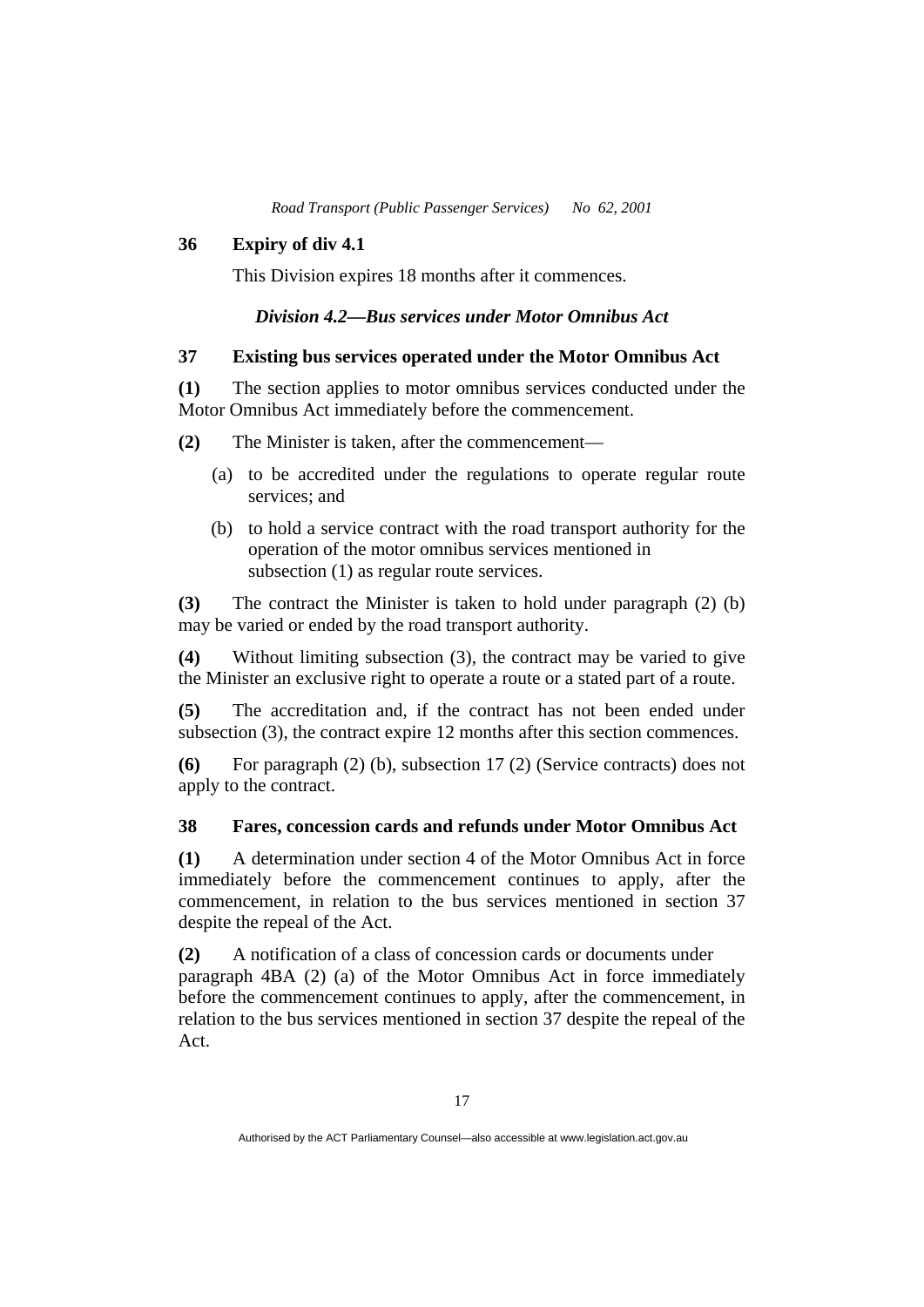#### **36 Expiry of div 4.1**

This Division expires 18 months after it commences.

## *Division 4.2—Bus services under Motor Omnibus Act*

#### **37 Existing bus services operated under the Motor Omnibus Act**

**(1)** The section applies to motor omnibus services conducted under the Motor Omnibus Act immediately before the commencement.

- **(2)** The Minister is taken, after the commencement—
	- (a) to be accredited under the regulations to operate regular route services; and
	- (b) to hold a service contract with the road transport authority for the operation of the motor omnibus services mentioned in subsection (1) as regular route services.

**(3)** The contract the Minister is taken to hold under paragraph (2) (b) may be varied or ended by the road transport authority.

**(4)** Without limiting subsection (3), the contract may be varied to give the Minister an exclusive right to operate a route or a stated part of a route.

**(5)** The accreditation and, if the contract has not been ended under subsection (3), the contract expire 12 months after this section commences.

**(6)** For paragraph (2) (b), subsection 17 (2) (Service contracts) does not apply to the contract.

#### **38 Fares, concession cards and refunds under Motor Omnibus Act**

**(1)** A determination under section 4 of the Motor Omnibus Act in force immediately before the commencement continues to apply, after the commencement, in relation to the bus services mentioned in section 37 despite the repeal of the Act.

**(2)** A notification of a class of concession cards or documents under paragraph 4BA (2) (a) of the Motor Omnibus Act in force immediately before the commencement continues to apply, after the commencement, in relation to the bus services mentioned in section 37 despite the repeal of the Act.

Authorised by the ACT Parliamentary Counsel—also accessible at www.legislation.act.gov.au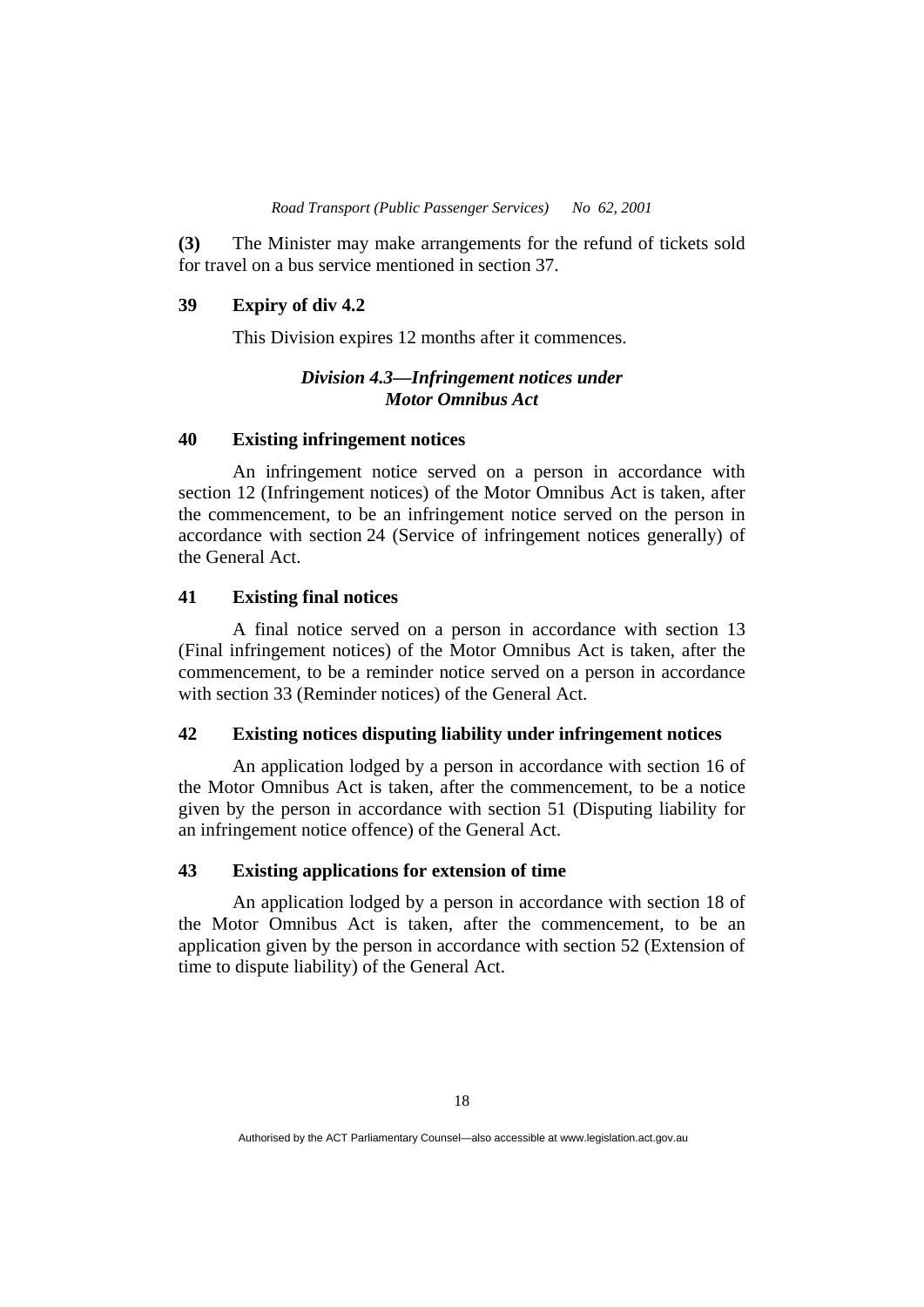**(3)** The Minister may make arrangements for the refund of tickets sold for travel on a bus service mentioned in section 37.

#### **39 Expiry of div 4.2**

This Division expires 12 months after it commences.

#### *Division 4.3—Infringement notices under Motor Omnibus Act*

#### **40 Existing infringement notices**

 An infringement notice served on a person in accordance with section 12 (Infringement notices) of the Motor Omnibus Act is taken, after the commencement, to be an infringement notice served on the person in accordance with section 24 (Service of infringement notices generally) of the General Act.

#### **41 Existing final notices**

 A final notice served on a person in accordance with section 13 (Final infringement notices) of the Motor Omnibus Act is taken, after the commencement, to be a reminder notice served on a person in accordance with section 33 (Reminder notices) of the General Act.

#### **42 Existing notices disputing liability under infringement notices**

 An application lodged by a person in accordance with section 16 of the Motor Omnibus Act is taken, after the commencement, to be a notice given by the person in accordance with section 51 (Disputing liability for an infringement notice offence) of the General Act.

#### **43 Existing applications for extension of time**

 An application lodged by a person in accordance with section 18 of the Motor Omnibus Act is taken, after the commencement, to be an application given by the person in accordance with section 52 (Extension of time to dispute liability) of the General Act.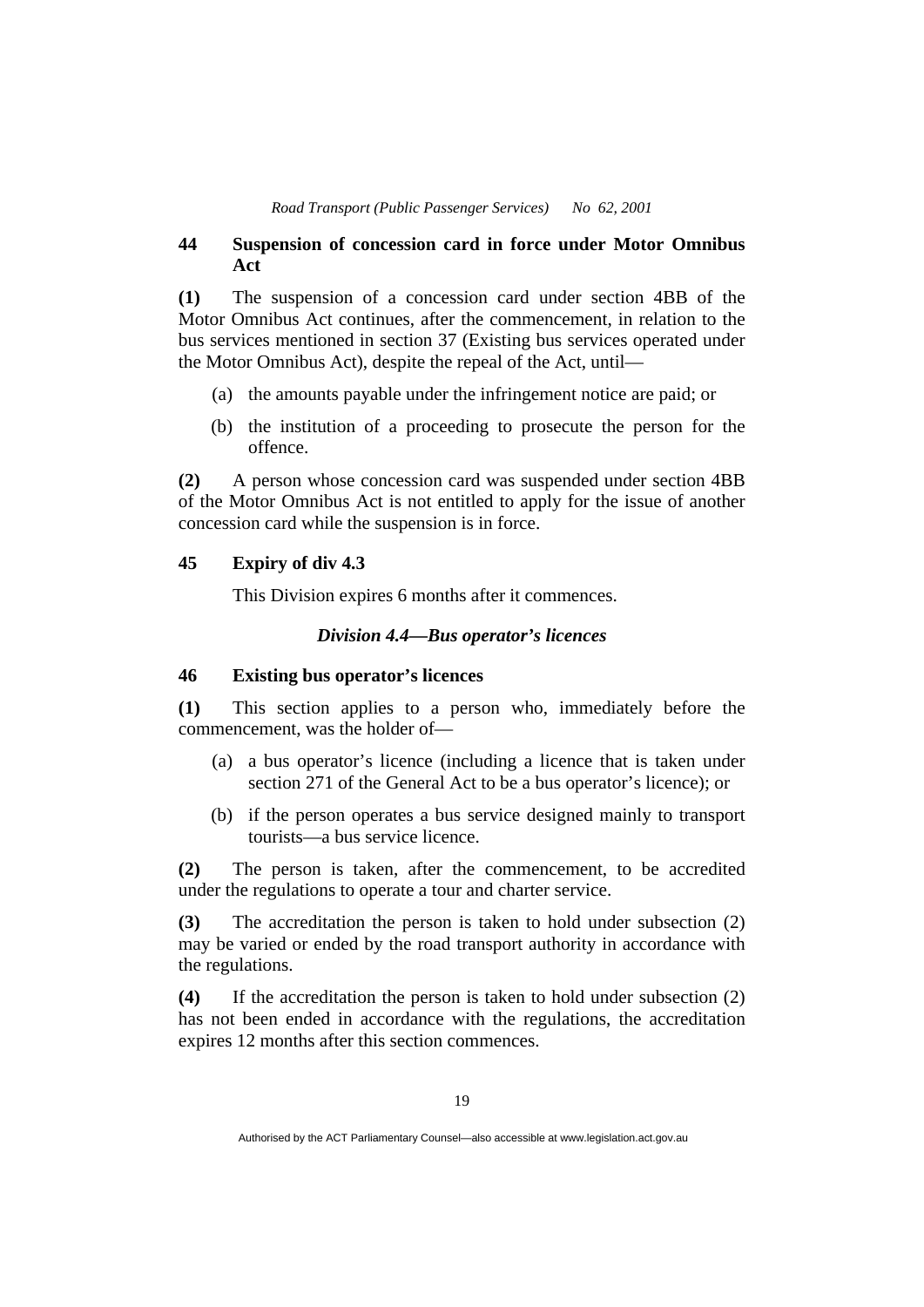### **44 Suspension of concession card in force under Motor Omnibus Act**

**(1)** The suspension of a concession card under section 4BB of the Motor Omnibus Act continues, after the commencement, in relation to the bus services mentioned in section 37 (Existing bus services operated under the Motor Omnibus Act), despite the repeal of the Act, until—

- (a) the amounts payable under the infringement notice are paid; or
- (b) the institution of a proceeding to prosecute the person for the offence.

**(2)** A person whose concession card was suspended under section 4BB of the Motor Omnibus Act is not entitled to apply for the issue of another concession card while the suspension is in force.

#### **45 Expiry of div 4.3**

This Division expires 6 months after it commences.

#### *Division 4.4—Bus operator's licences*

#### **46 Existing bus operator's licences**

**(1)** This section applies to a person who, immediately before the commencement, was the holder of—

- (a) a bus operator's licence (including a licence that is taken under section 271 of the General Act to be a bus operator's licence); or
- (b) if the person operates a bus service designed mainly to transport tourists—a bus service licence.

**(2)** The person is taken, after the commencement, to be accredited under the regulations to operate a tour and charter service.

**(3)** The accreditation the person is taken to hold under subsection (2) may be varied or ended by the road transport authority in accordance with the regulations.

**(4)** If the accreditation the person is taken to hold under subsection (2) has not been ended in accordance with the regulations, the accreditation expires 12 months after this section commences.

Authorised by the ACT Parliamentary Counsel—also accessible at www.legislation.act.gov.au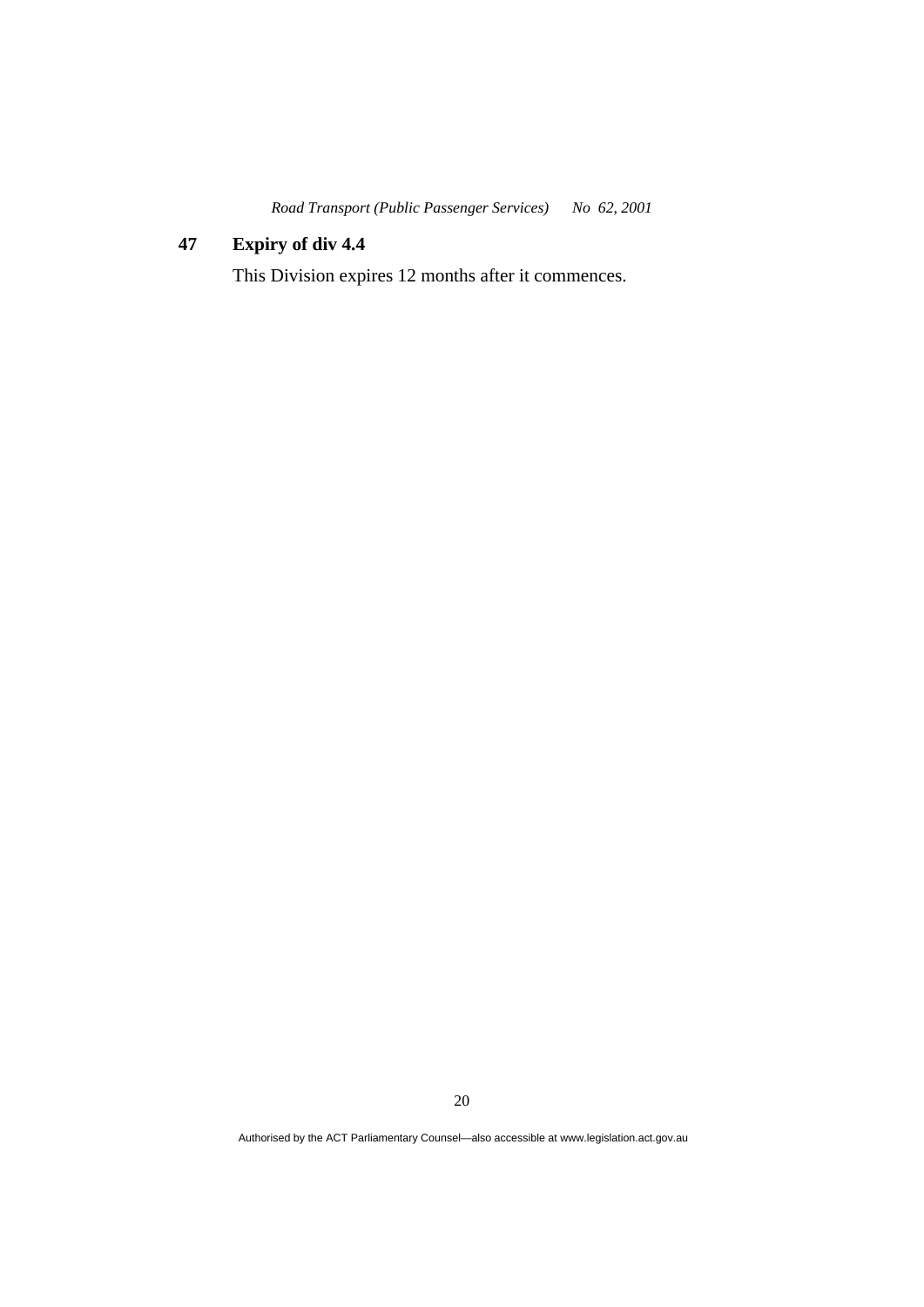# **47 Expiry of div 4.4**

This Division expires 12 months after it commences.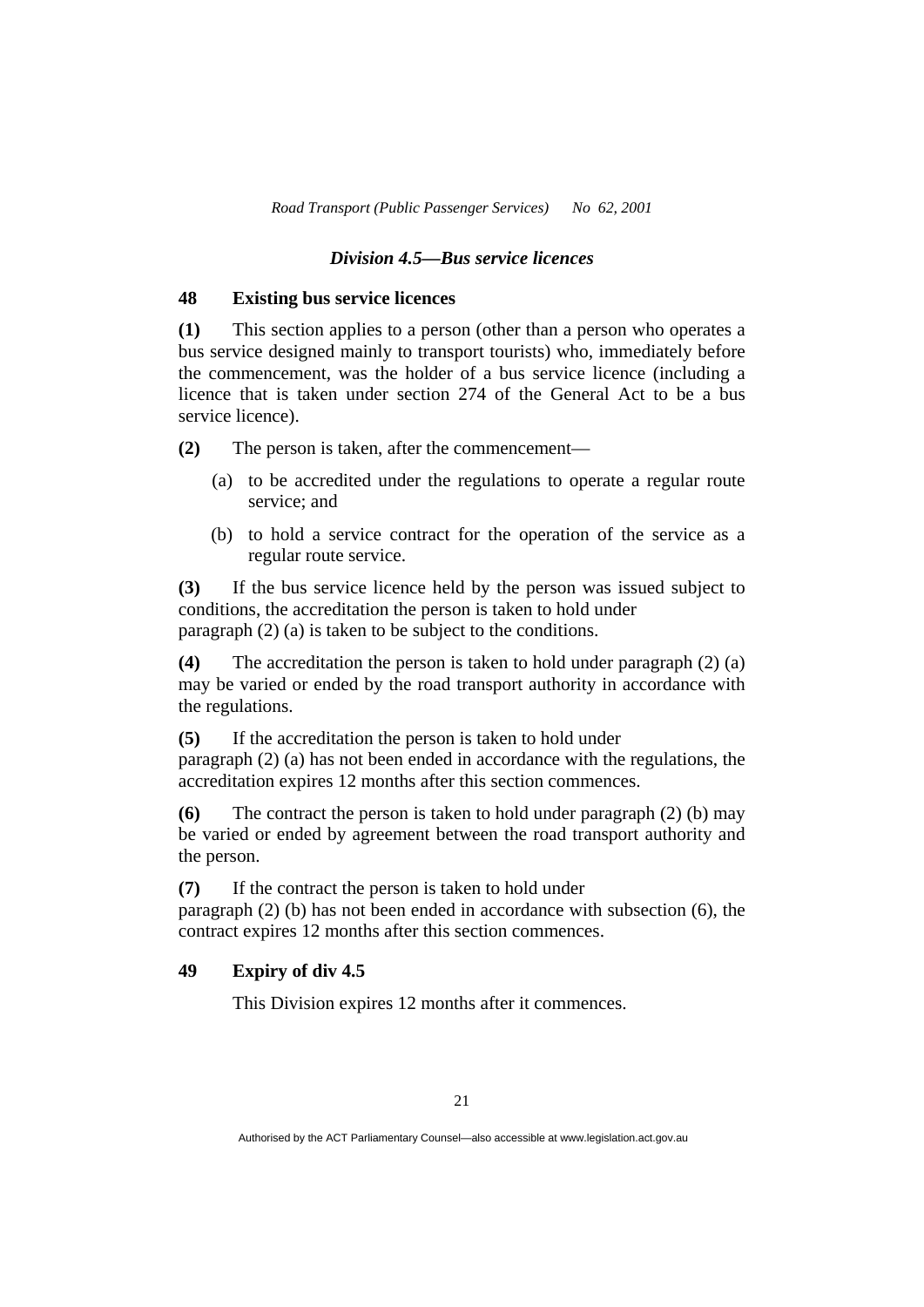#### *Division 4.5—Bus service licences*

#### **48 Existing bus service licences**

**(1)** This section applies to a person (other than a person who operates a bus service designed mainly to transport tourists) who, immediately before the commencement, was the holder of a bus service licence (including a licence that is taken under section 274 of the General Act to be a bus service licence).

**(2)** The person is taken, after the commencement—

- (a) to be accredited under the regulations to operate a regular route service; and
- (b) to hold a service contract for the operation of the service as a regular route service.

**(3)** If the bus service licence held by the person was issued subject to conditions, the accreditation the person is taken to hold under paragraph (2) (a) is taken to be subject to the conditions.

**(4)** The accreditation the person is taken to hold under paragraph (2) (a) may be varied or ended by the road transport authority in accordance with the regulations.

**(5)** If the accreditation the person is taken to hold under paragraph (2) (a) has not been ended in accordance with the regulations, the accreditation expires 12 months after this section commences.

**(6)** The contract the person is taken to hold under paragraph (2) (b) may be varied or ended by agreement between the road transport authority and the person.

**(7)** If the contract the person is taken to hold under paragraph (2) (b) has not been ended in accordance with subsection (6), the contract expires 12 months after this section commences.

#### **49 Expiry of div 4.5**

This Division expires 12 months after it commences.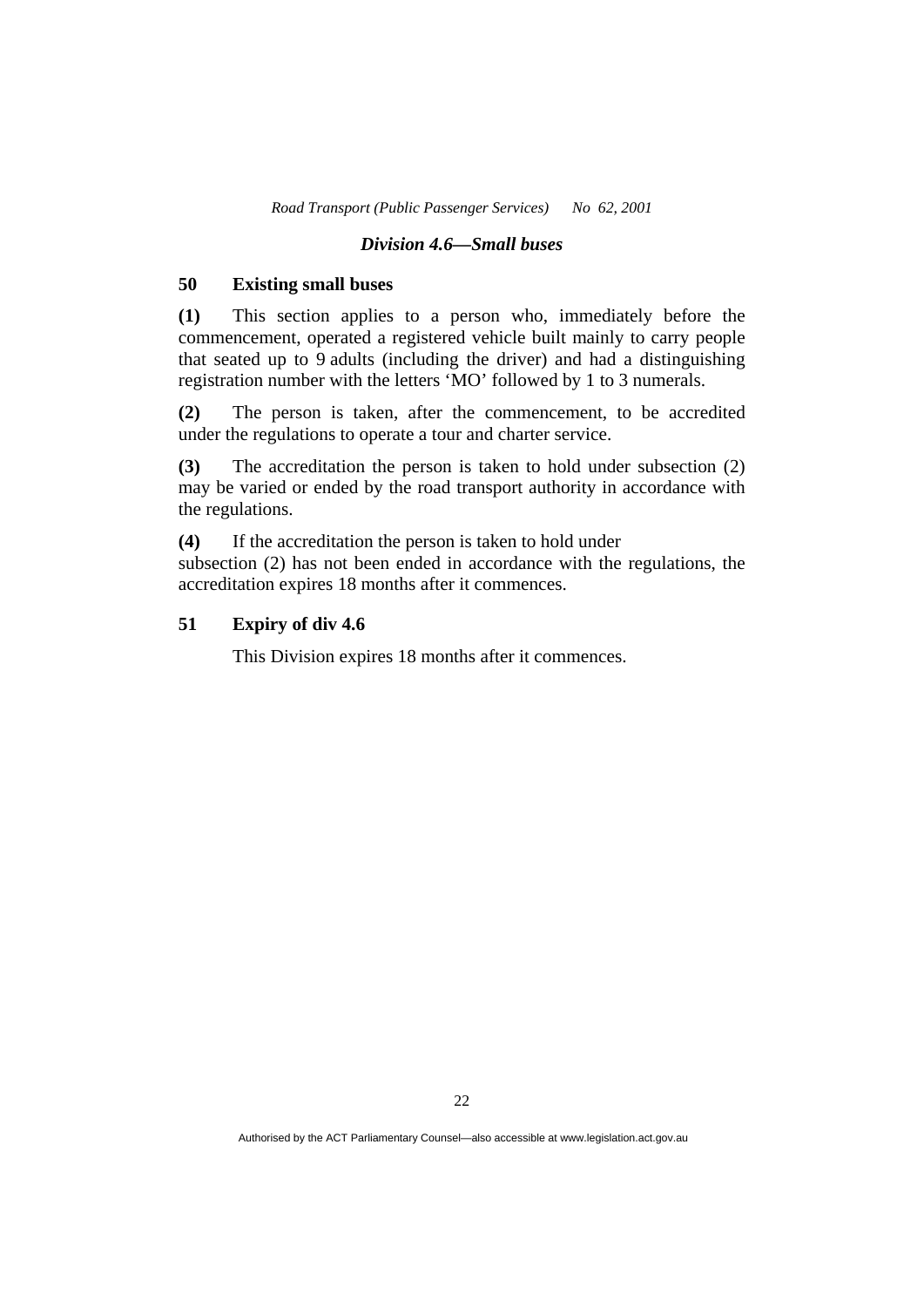#### *Division 4.6—Small buses*

#### **50 Existing small buses**

**(1)** This section applies to a person who, immediately before the commencement, operated a registered vehicle built mainly to carry people that seated up to 9 adults (including the driver) and had a distinguishing registration number with the letters 'MO' followed by 1 to 3 numerals.

**(2)** The person is taken, after the commencement, to be accredited under the regulations to operate a tour and charter service.

**(3)** The accreditation the person is taken to hold under subsection (2) may be varied or ended by the road transport authority in accordance with the regulations.

**(4)** If the accreditation the person is taken to hold under subsection (2) has not been ended in accordance with the regulations, the accreditation expires 18 months after it commences.

## **51 Expiry of div 4.6**

This Division expires 18 months after it commences.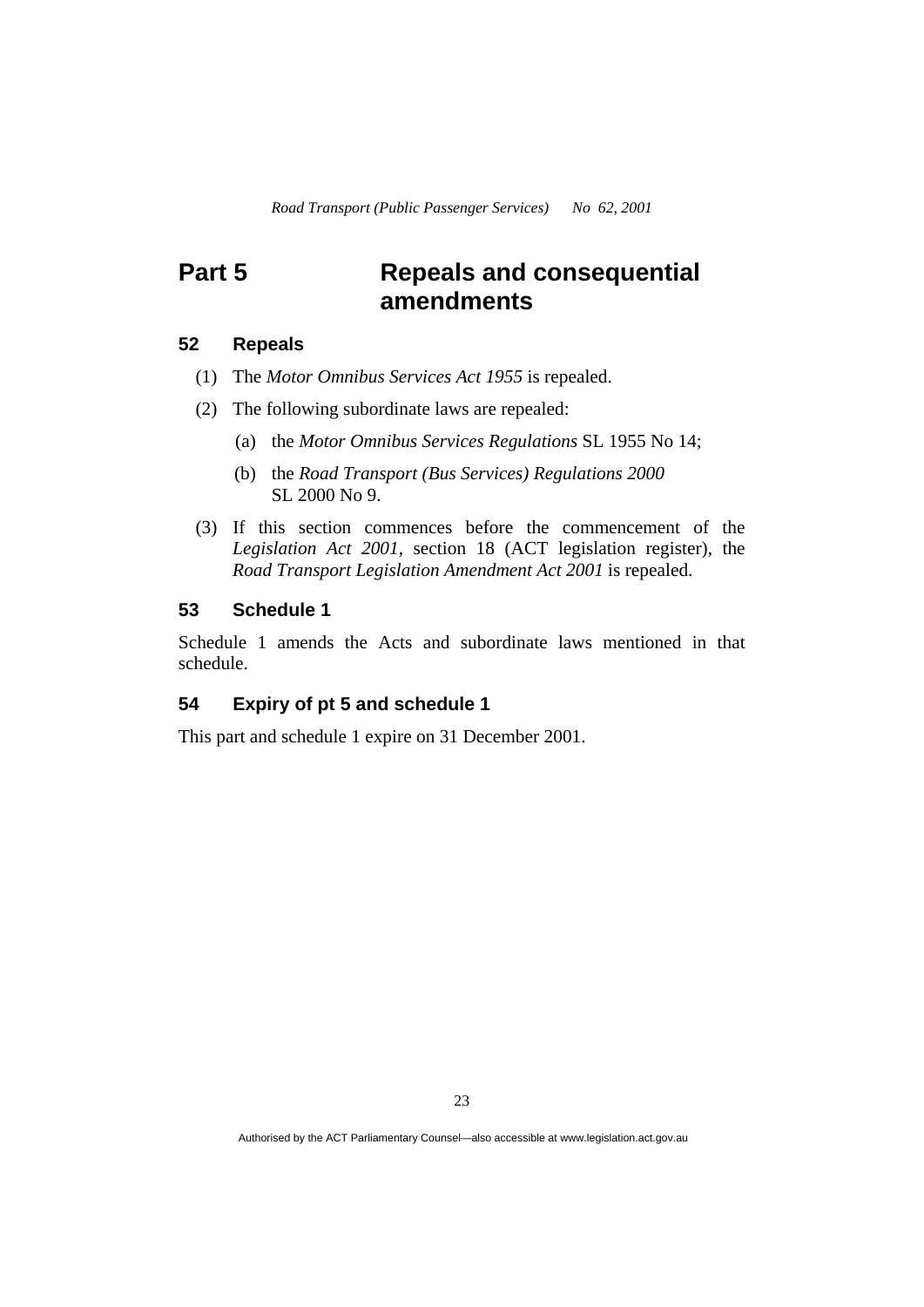# **Part 5 Repeals and consequential amendments**

# **52 Repeals**

- (1) The *Motor Omnibus Services Act 1955* is repealed.
- (2) The following subordinate laws are repealed:
	- (a) the *Motor Omnibus Services Regulations* SL 1955 No 14;
	- (b) the *Road Transport (Bus Services) Regulations 2000* SL 2000 No 9.
- (3) If this section commences before the commencement of the *Legislation Act 2001*, section 18 (ACT legislation register), the *Road Transport Legislation Amendment Act 2001* is repealed.

# **53 Schedule 1**

Schedule 1 amends the Acts and subordinate laws mentioned in that schedule.

# **54 Expiry of pt 5 and schedule 1**

This part and schedule 1 expire on 31 December 2001.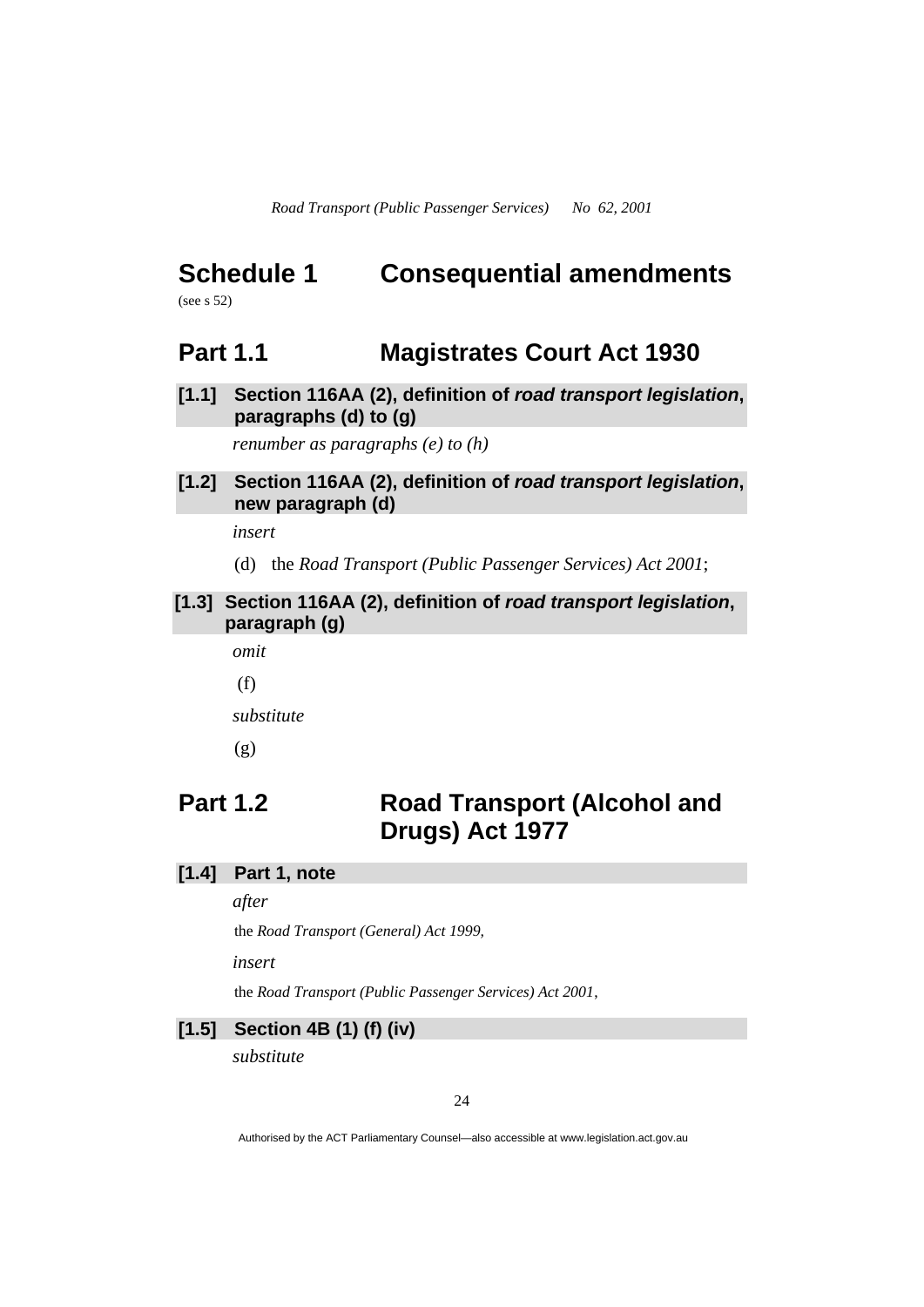# **Schedule 1 Consequential amendments**

(see s 52)

# **Part 1.1 Magistrates Court Act 1930**

**[1.1] Section 116AA (2), definition of** *road transport legislation***, paragraphs (d) to (g)** 

*renumber as paragraphs (e) to (h)* 

# **[1.2] Section 116AA (2), definition of** *road transport legislation***, new paragraph (d)**

*insert* 

(d) the *Road Transport (Public Passenger Services) Act 2001*;

# **[1.3] Section 116AA (2), definition of** *road transport legislation***, paragraph (g)**

*omit* 

(f)

*substitute* 

(g)

# **Part 1.2 Road Transport (Alcohol and Drugs) Act 1977**

# **[1.4] Part 1, note**

*after* 

the *Road Transport (General) Act 1999,*

*insert* 

the *Road Transport (Public Passenger Services) Act 2001*,

# **[1.5] Section 4B (1) (f) (iv)**

*substitute*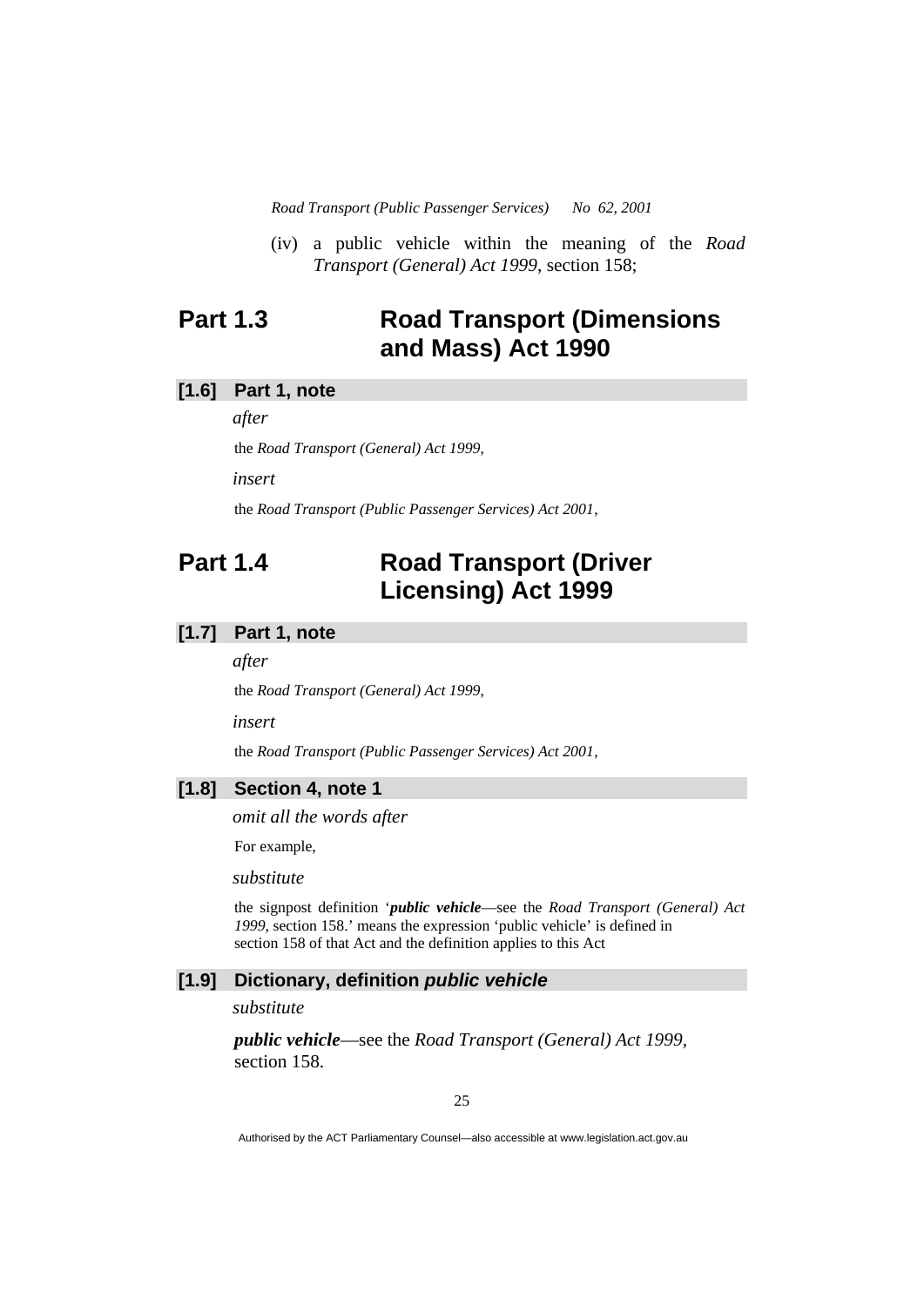(iv) a public vehicle within the meaning of the *Road Transport (General) Act 1999*, section 158;

# **Part 1.3 Road Transport (Dimensions and Mass) Act 1990**

# **[1.6] Part 1, note**

*after* 

the *Road Transport (General) Act 1999*,

*insert* 

the *Road Transport (Public Passenger Services) Act 2001*,

# **Part 1.4 Road Transport (Driver Licensing) Act 1999**

#### **[1.7] Part 1, note**

*after* 

the *Road Transport (General) Act 1999*,

*insert* 

the *Road Transport (Public Passenger Services) Act 2001*,

### **[1.8] Section 4, note 1**

*omit all the words after* 

For example,

*substitute* 

the signpost definition '*public vehicle*—see the *Road Transport (General) Act 1999*, section 158.' means the expression 'public vehicle' is defined in section 158 of that Act and the definition applies to this Act

### **[1.9] Dictionary, definition** *public vehicle*

*substitute* 

 *public vehicle*—see the *Road Transport (General) Act 1999*, section 158.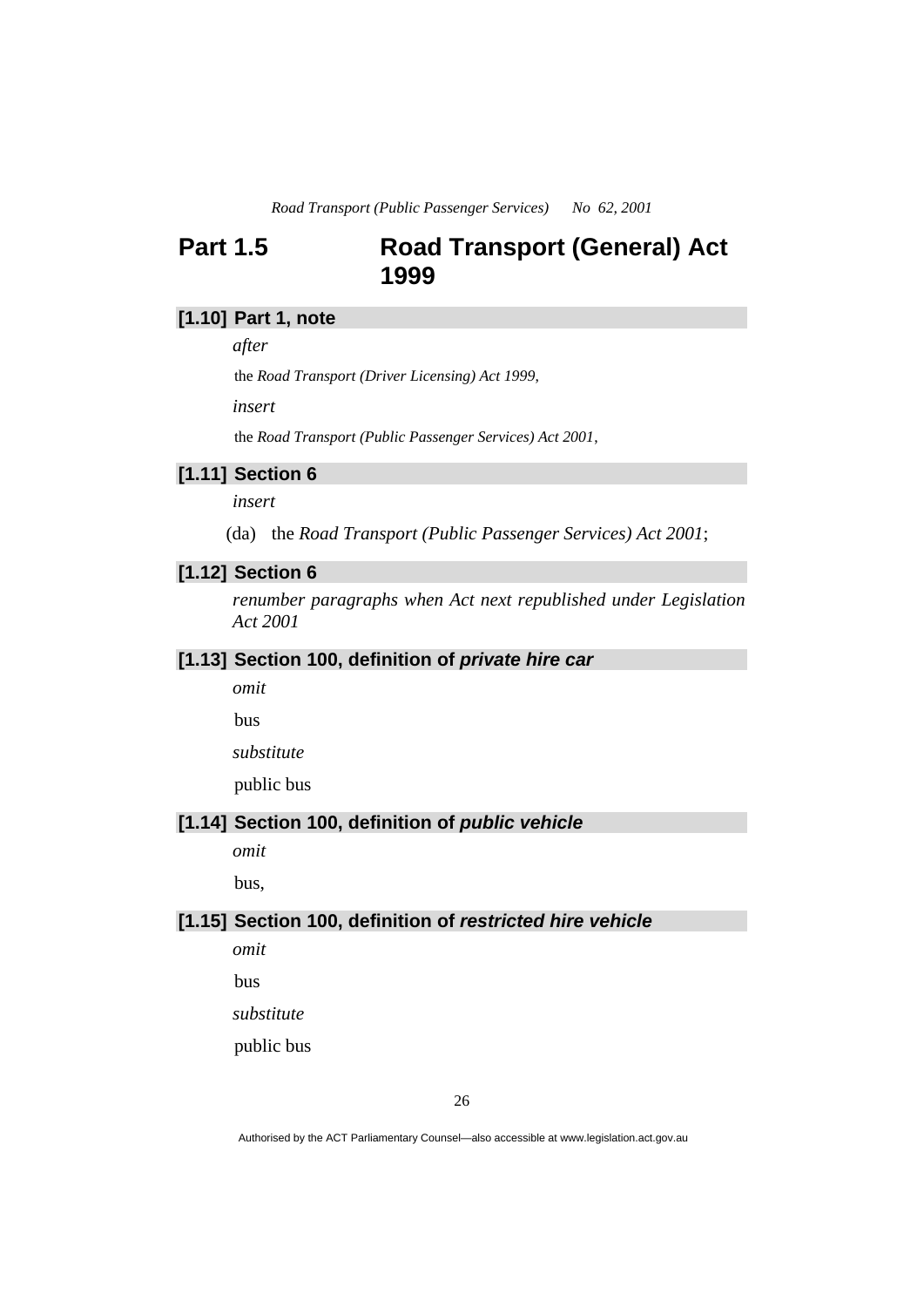# **Part 1.5 Road Transport (General) Act 1999**

# **[1.10] Part 1, note**

*after* 

the *Road Transport (Driver Licensing) Act 1999*,

*insert* 

the *Road Transport (Public Passenger Services) Act 2001*,

# **[1.11] Section 6**

*insert* 

(da) the *Road Transport (Public Passenger Services) Act 2001*;

# **[1.12] Section 6**

*renumber paragraphs when Act next republished under Legislation Act 2001* 

#### **[1.13] Section 100, definition of** *private hire car*

*omit* 

bus

*substitute* 

public bus

#### **[1.14] Section 100, definition of** *public vehicle*

*omit* 

bus,

#### **[1.15] Section 100, definition of** *restricted hire vehicle*

*omit* 

bus

*substitute* 

public bus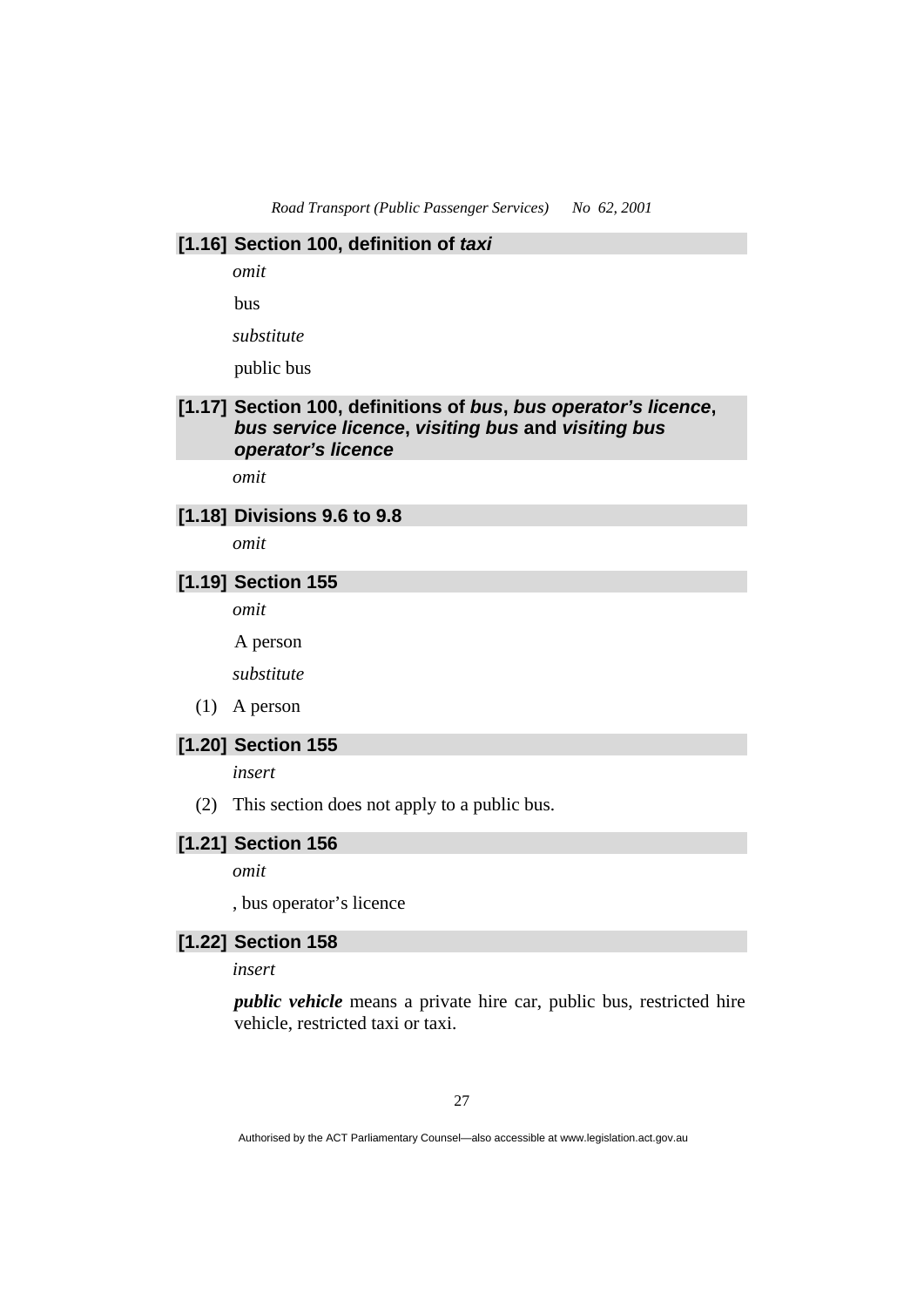#### **[1.16] Section 100, definition of** *taxi*

*omit* 

bus

*substitute* 

public bus

# **[1.17] Section 100, definitions of** *bus***,** *bus operator's licence***,**  *bus service licence***,** *visiting bus* **and** *visiting bus operator's licence*

*omit* 

#### **[1.18] Divisions 9.6 to 9.8**

*omit* 

# **[1.19] Section 155**

*omit* 

A person

*substitute* 

(1) A person

# **[1.20] Section 155**

*insert* 

(2) This section does not apply to a public bus.

# **[1.21] Section 156**

*omit* 

, bus operator's licence

# **[1.22] Section 158**

*insert* 

*public vehicle* means a private hire car, public bus, restricted hire vehicle, restricted taxi or taxi.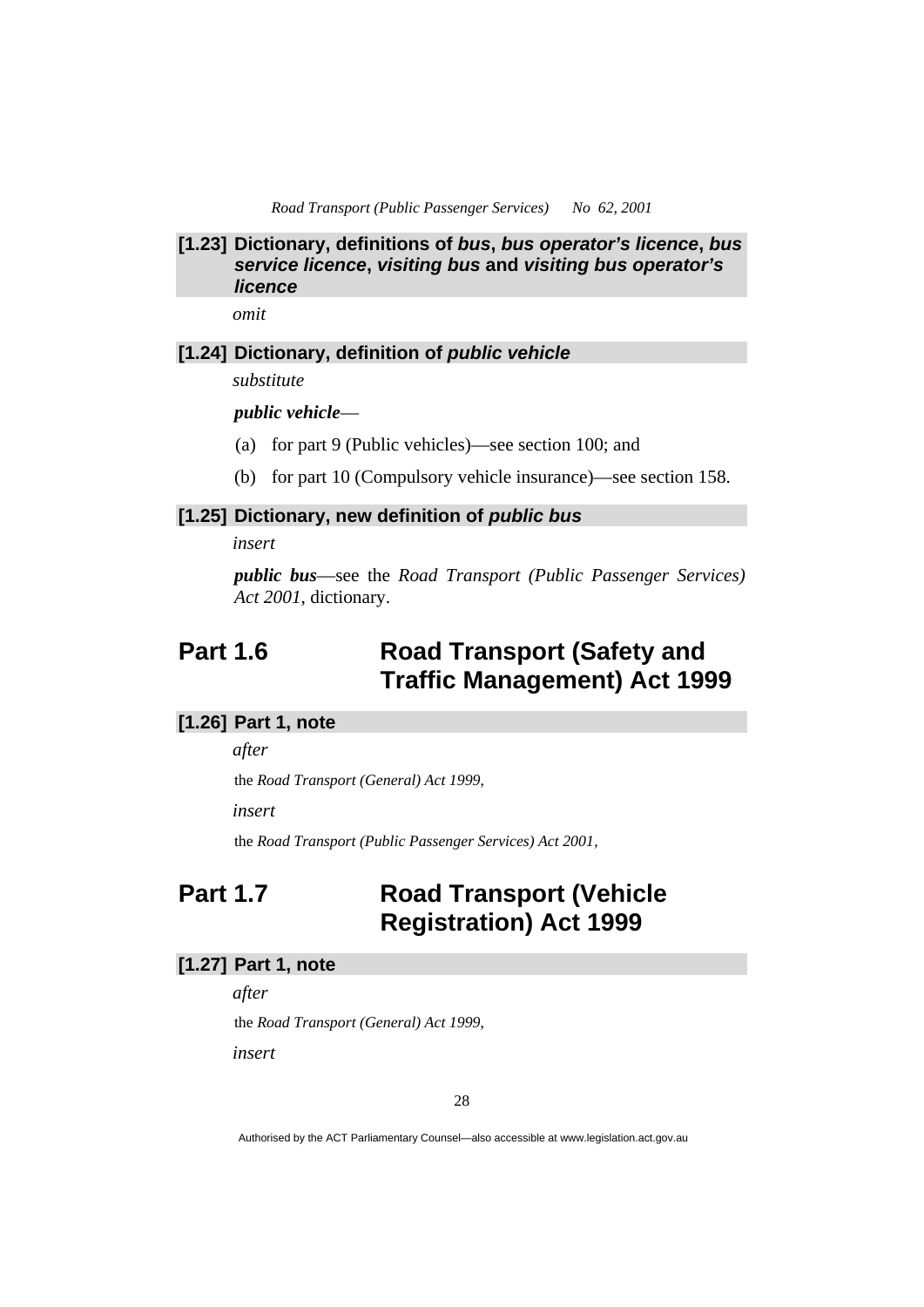# **[1.23] Dictionary, definitions of** *bus***,** *bus operator's licence***,** *bus service licence***,** *visiting bus* **and** *visiting bus operator's licence*

*omit* 

#### **[1.24] Dictionary, definition of** *public vehicle*

*substitute* 

*public vehicle*—

- (a) for part 9 (Public vehicles)—see section 100; and
- (b) for part 10 (Compulsory vehicle insurance)—see section 158.

#### **[1.25] Dictionary, new definition of** *public bus*

*insert* 

*public bus*—see the *Road Transport (Public Passenger Services) Act 2001*, dictionary.

# **Part 1.6 Road Transport (Safety and Traffic Management) Act 1999**

# **[1.26] Part 1, note**

*after* 

the *Road Transport (General) Act 1999*,

*insert* 

the *Road Transport (Public Passenger Services) Act 2001*,

# **Part 1.7 Road Transport (Vehicle Registration) Act 1999**

## **[1.27] Part 1, note**

*after* 

the *Road Transport (General) Act 1999*,

*insert*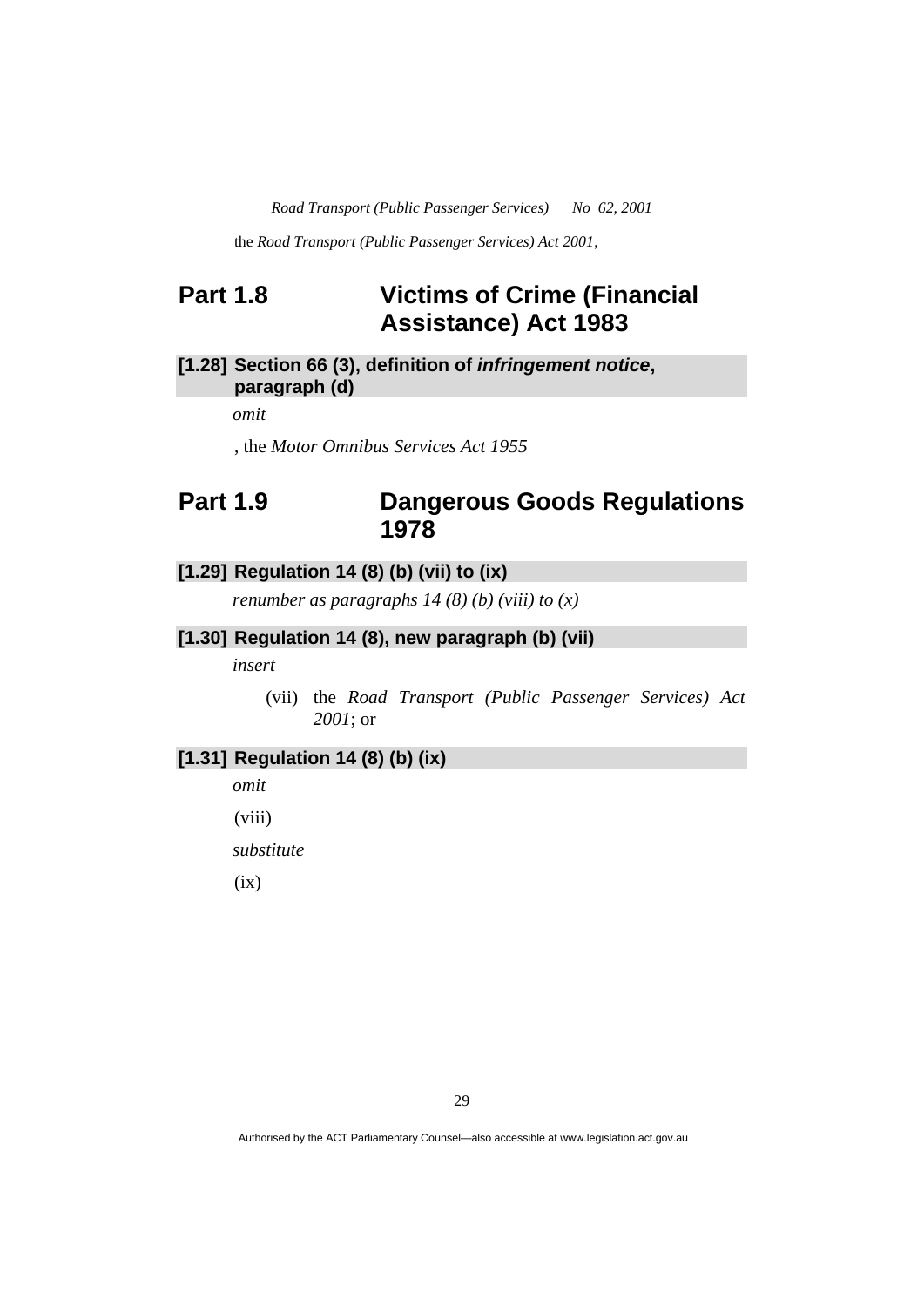the *Road Transport (Public Passenger Services) Act 2001*,

# **Part 1.8 Victims of Crime (Financial Assistance) Act 1983**

# **[1.28] Section 66 (3), definition of** *infringement notice***, paragraph (d)**

*omit* 

, the *Motor Omnibus Services Act 1955*

# **Part 1.9 Dangerous Goods Regulations 1978**

# **[1.29] Regulation 14 (8) (b) (vii) to (ix)**

*renumber as paragraphs 14 (8) (b) (viii) to (x)* 

# **[1.30] Regulation 14 (8), new paragraph (b) (vii)**

*insert* 

 (vii) the *Road Transport (Public Passenger Services) Act 2001*; or

# **[1.31] Regulation 14 (8) (b) (ix)**

*omit* 

(viii)

*substitute* 

 $(ix)$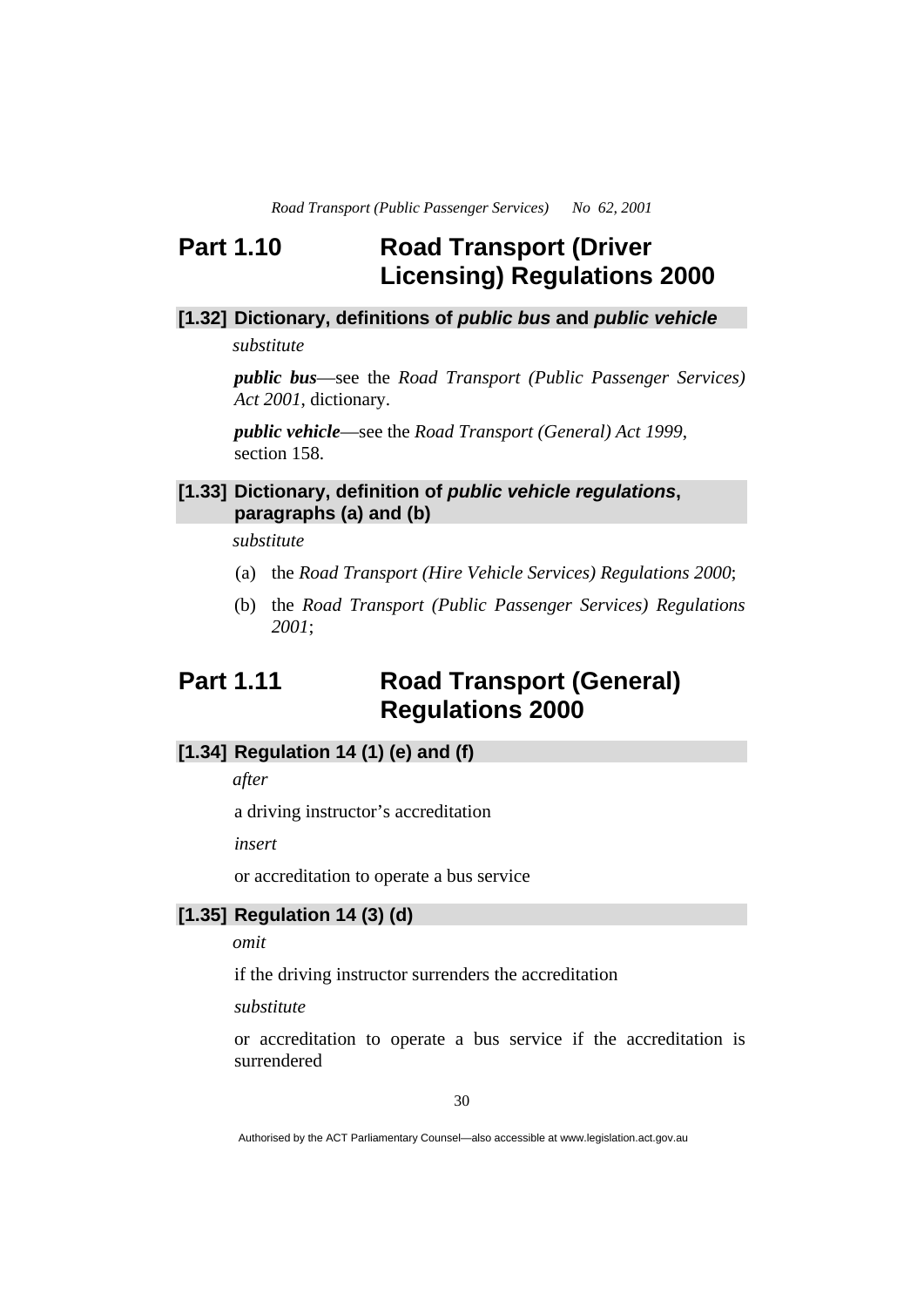# **Part 1.10 Road Transport (Driver Licensing) Regulations 2000**

# **[1.32] Dictionary, definitions of** *public bus* **and** *public vehicle*

*substitute* 

*public bus*—see the *Road Transport (Public Passenger Services) Act 2001*, dictionary.

*public vehicle*—see the *Road Transport (General) Act 1999*, section 158.

# **[1.33] Dictionary, definition of** *public vehicle regulations***, paragraphs (a) and (b)**

*substitute* 

- (a) the *Road Transport (Hire Vehicle Services) Regulations 2000*;
- (b) the *Road Transport (Public Passenger Services) Regulations 2001*;

# **Part 1.11 Road Transport (General) Regulations 2000**

## **[1.34] Regulation 14 (1) (e) and (f)**

*after* 

a driving instructor's accreditation

*insert* 

or accreditation to operate a bus service

# **[1.35] Regulation 14 (3) (d)**

*omit* 

if the driving instructor surrenders the accreditation

*substitute* 

or accreditation to operate a bus service if the accreditation is surrendered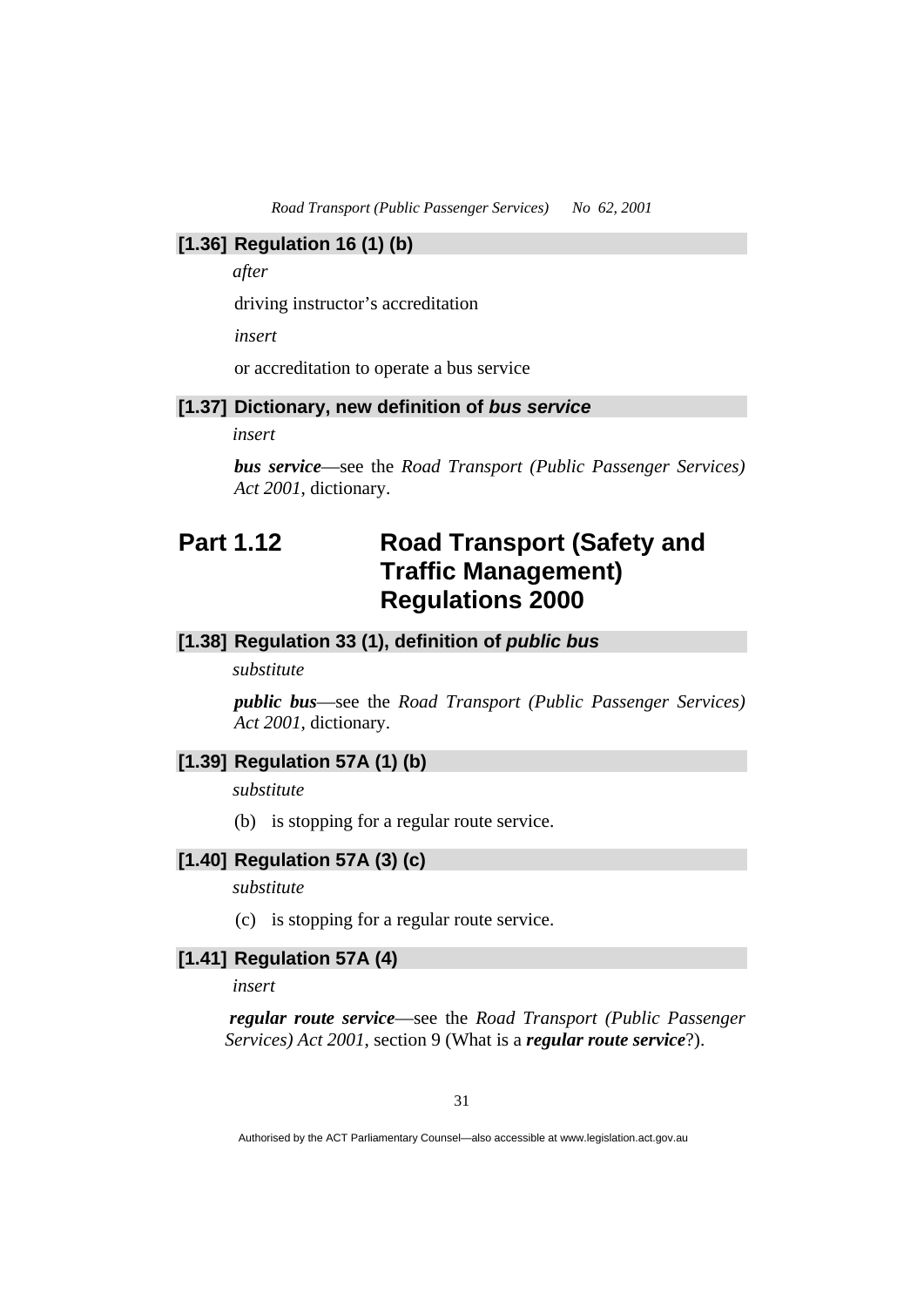### **[1.36] Regulation 16 (1) (b)**

*after* 

driving instructor's accreditation

*insert* 

or accreditation to operate a bus service

### **[1.37] Dictionary, new definition of** *bus service*

*insert* 

*bus service*—see the *Road Transport (Public Passenger Services) Act 2001*, dictionary.

# **Part 1.12 Road Transport (Safety and Traffic Management) Regulations 2000**

# **[1.38] Regulation 33 (1), definition of** *public bus*

*substitute* 

*public bus*—see the *Road Transport (Public Passenger Services) Act 2001*, dictionary.

# **[1.39] Regulation 57A (1) (b)**

*substitute* 

(b) is stopping for a regular route service.

# **[1.40] Regulation 57A (3) (c)**

*substitute* 

(c) is stopping for a regular route service.

# **[1.41] Regulation 57A (4)**

*insert* 

 *regular route service*—see the *Road Transport (Public Passenger Services) Act 2001*, section 9 (What is a *regular route service*?).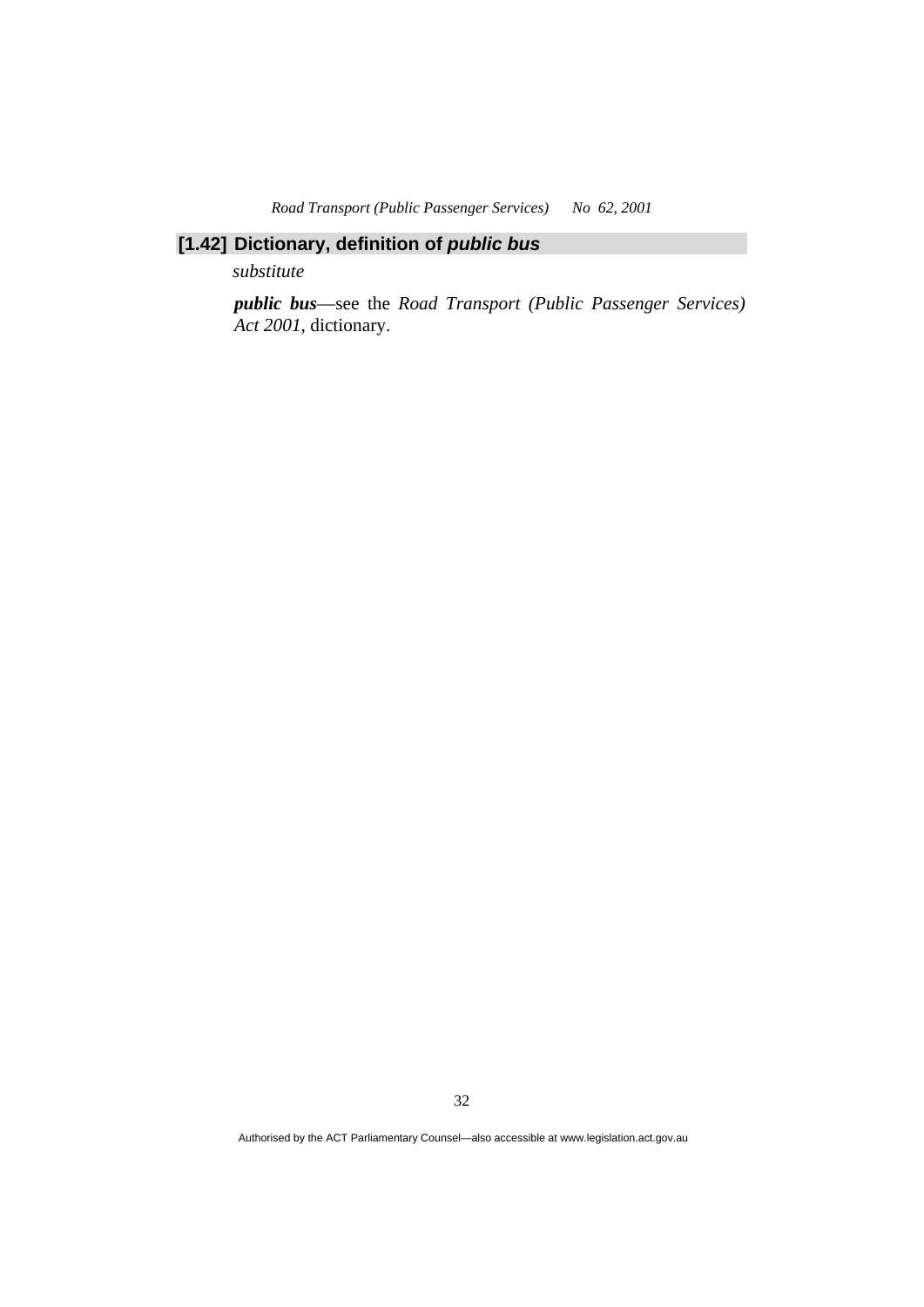# **[1.42] Dictionary, definition of** *public bus*

*substitute* 

*public bus*—see the *Road Transport (Public Passenger Services) Act 2001*, dictionary.

32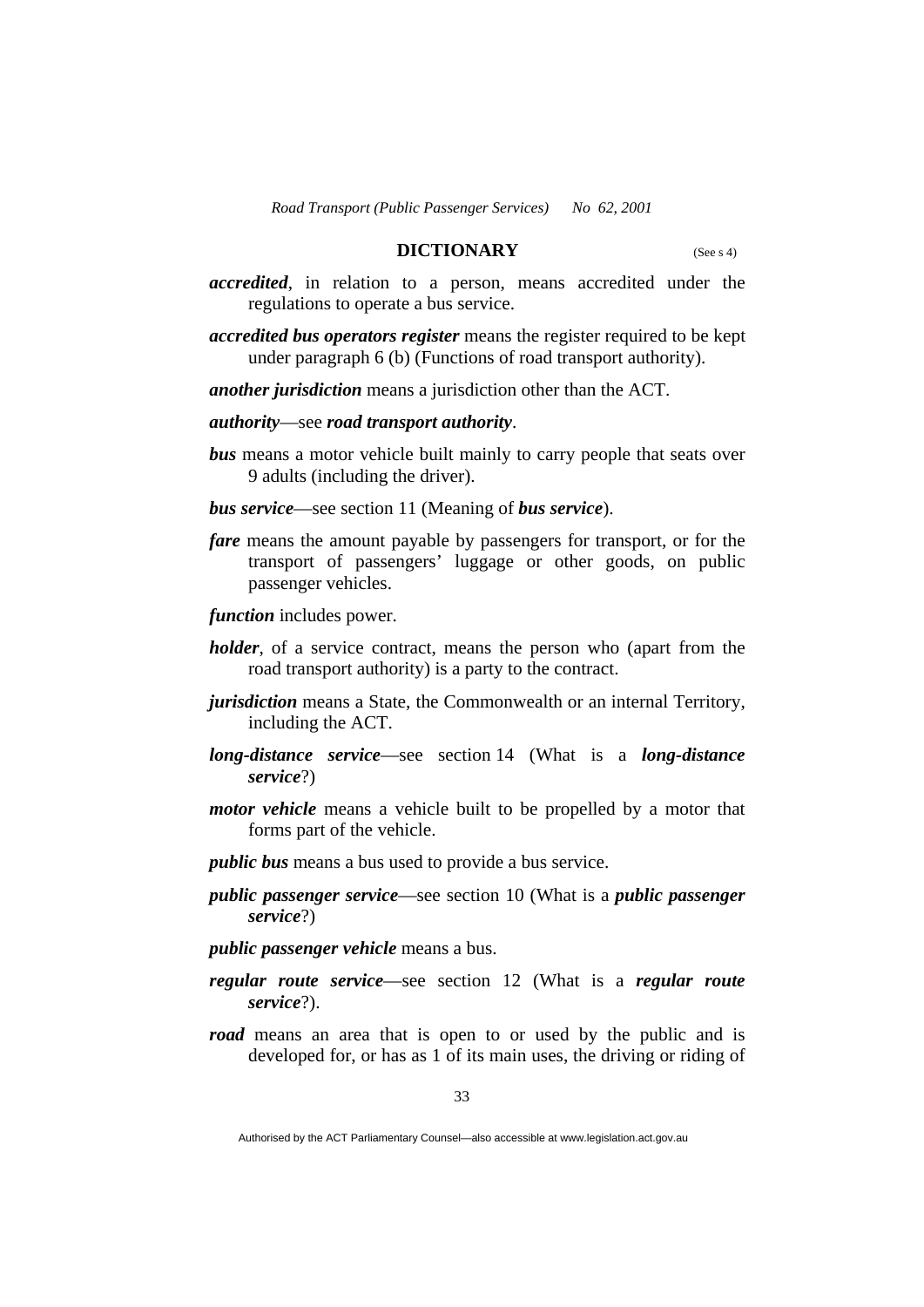## **DICTIONARY** (See s 4)

- *accredited*, in relation to a person, means accredited under the regulations to operate a bus service.
- *accredited bus operators register* means the register required to be kept under paragraph 6 (b) (Functions of road transport authority).

*another jurisdiction* means a jurisdiction other than the ACT.

*authority*—see *road transport authority*.

- *bus* means a motor vehicle built mainly to carry people that seats over 9 adults (including the driver).
- *bus service*—see section 11 (Meaning of *bus service*).
- *fare* means the amount payable by passengers for transport, or for the transport of passengers' luggage or other goods, on public passenger vehicles.

*function* includes power.

- *holder*, of a service contract, means the person who (apart from the road transport authority) is a party to the contract.
- *jurisdiction* means a State, the Commonwealth or an internal Territory, including the ACT.
- *long-distance service*—see section 14 (What is a *long-distance service*?)
- *motor vehicle* means a vehicle built to be propelled by a motor that forms part of the vehicle.
- *public bus* means a bus used to provide a bus service.
- *public passenger service*—see section 10 (What is a *public passenger service*?)
- *public passenger vehicle* means a bus.
- *regular route service*—see section 12 (What is a *regular route service*?).
- *road* means an area that is open to or used by the public and is developed for, or has as 1 of its main uses, the driving or riding of

Authorised by the ACT Parliamentary Counsel—also accessible at www.legislation.act.gov.au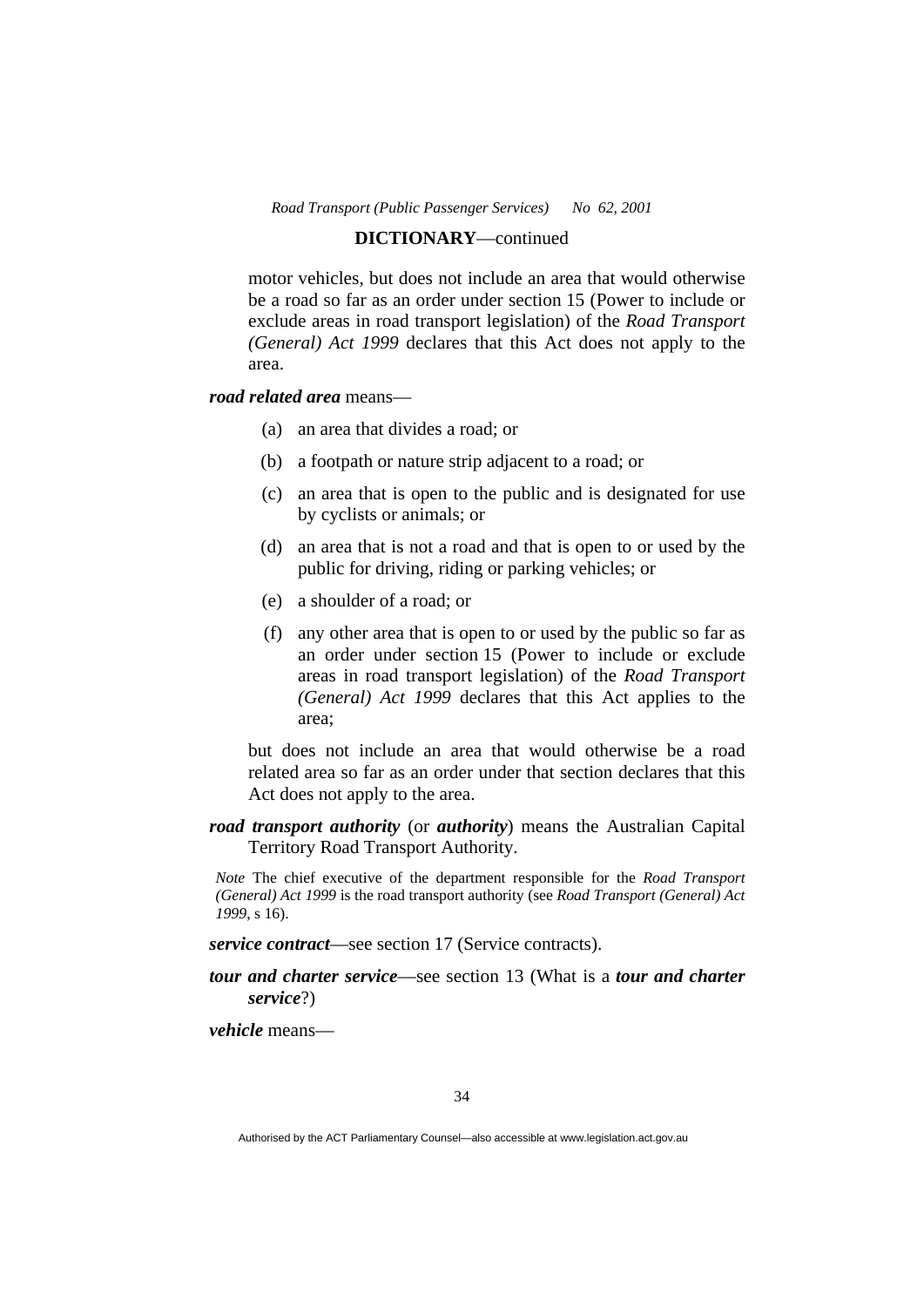#### **DICTIONARY**—continued

motor vehicles, but does not include an area that would otherwise be a road so far as an order under section 15 (Power to include or exclude areas in road transport legislation) of the *Road Transport (General) Act 1999* declares that this Act does not apply to the area.

# *road related area* means—

- (a) an area that divides a road; or
- (b) a footpath or nature strip adjacent to a road; or
- (c) an area that is open to the public and is designated for use by cyclists or animals; or
- (d) an area that is not a road and that is open to or used by the public for driving, riding or parking vehicles; or
- (e) a shoulder of a road; or
- (f) any other area that is open to or used by the public so far as an order under section 15 (Power to include or exclude areas in road transport legislation) of the *Road Transport (General) Act 1999* declares that this Act applies to the area;

 but does not include an area that would otherwise be a road related area so far as an order under that section declares that this Act does not apply to the area.

*road transport authority* (or *authority*) means the Australian Capital Territory Road Transport Authority.

*Note* The chief executive of the department responsible for the *Road Transport (General) Act 1999* is the road transport authority (see *Road Transport (General) Act 1999*, s 16).

*service contract*—see section 17 (Service contracts).

*tour and charter service*—see section 13 (What is a *tour and charter service*?)

*vehicle* means—

Authorised by the ACT Parliamentary Counsel—also accessible at www.legislation.act.gov.au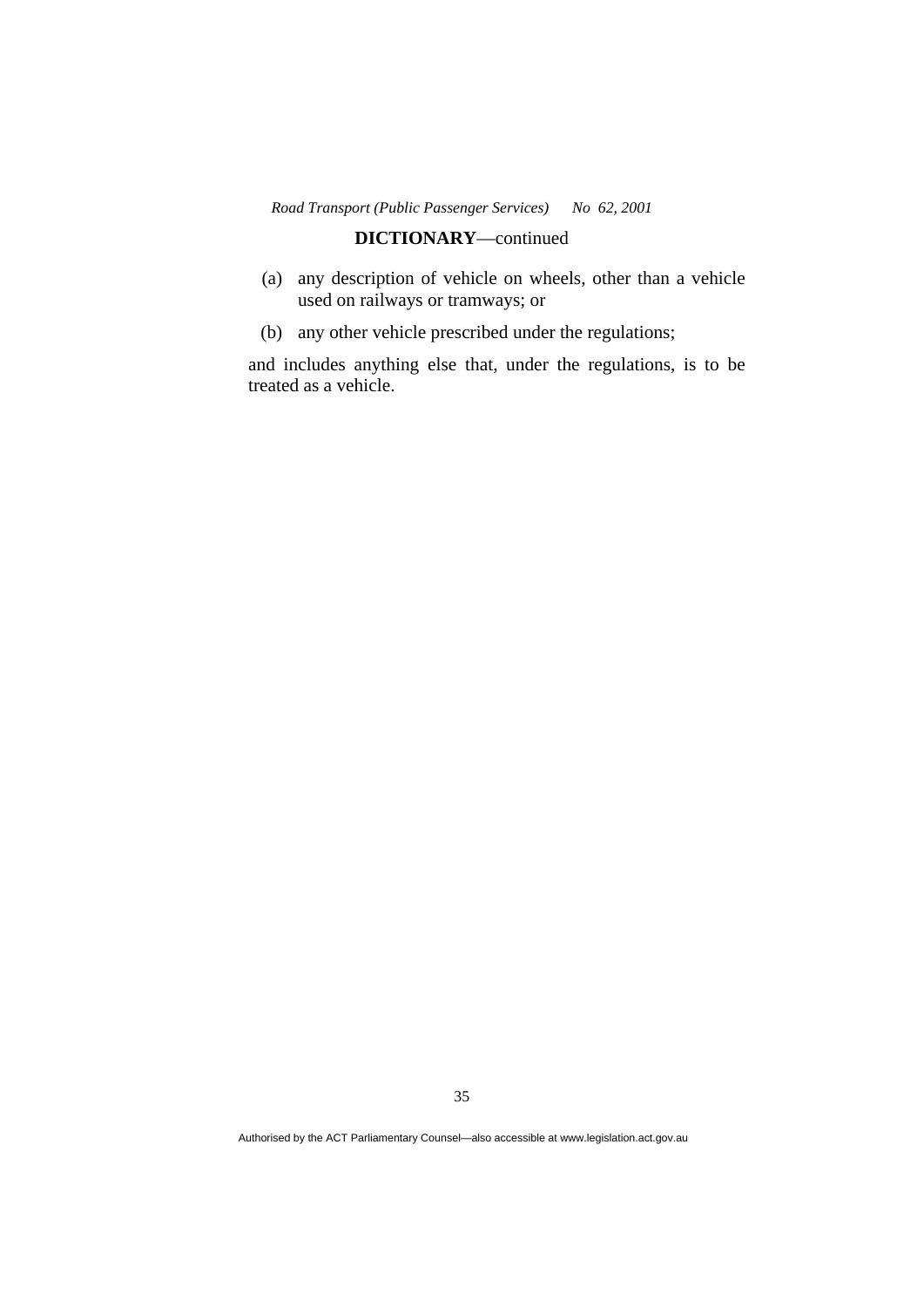# **DICTIONARY**—continued

- (a) any description of vehicle on wheels, other than a vehicle used on railways or tramways; or
- (b) any other vehicle prescribed under the regulations;

and includes anything else that, under the regulations, is to be treated as a vehicle.